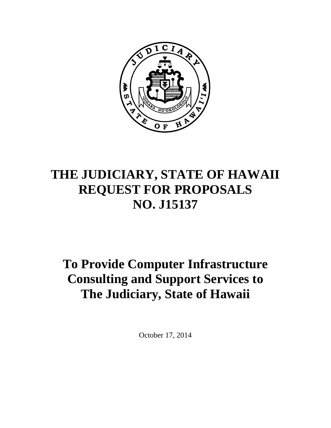

# **THE JUDICIARY, STATE OF HAWAII REQUEST FOR PROPOSALS NO. J15137**

# **To Provide Computer Infrastructure Consulting and Support Services to The Judiciary, State of Hawaii**

October 17, 2014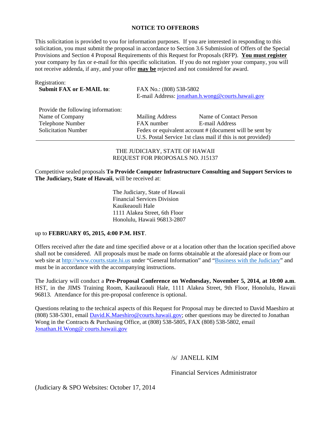#### **NOTICE TO OFFERORS**

This solicitation is provided to you for information purposes. If you are interested in responding to this solicitation, you must submit the proposal in accordance to Section 3.6 Submission of Offers of the Special Provisions and Section 4 Proposal Requirements of this Request for Proposals (RFP). **You must register**  your company by fax or e-mail for this specific solicitation. If you do not register your company, you will not receive addenda, if any, and your offer **may be** rejected and not considered for award.

| Registration:<br><b>Submit FAX or E-MAIL to:</b> | FAX No.: (808) 538-5802<br>E-mail Address: jonathan.h.wong@courts.hawaii.gov |                                                             |
|--------------------------------------------------|------------------------------------------------------------------------------|-------------------------------------------------------------|
| Provide the following information:               |                                                                              |                                                             |
| Name of Company                                  | <b>Mailing Address</b>                                                       | Name of Contact Person                                      |
| Telephone Number                                 | FAX number                                                                   | E-mail Address                                              |
| <b>Solicitation Number</b>                       |                                                                              | Fedex or equivalent account # (document will be sent by     |
|                                                  |                                                                              | U.S. Postal Service 1st class mail if this is not provided) |

THE JUDICIARY, STATE OF HAWAII REQUEST FOR PROPOSALS NO. J15137

Competitive sealed proposals **To Provide Computer Infrastructure Consulting and Support Services to The Judiciary, State of Hawaii**, will be received at:

> The Judiciary, State of Hawaii Financial Services Division Kauikeaouli Hale 1111 Alakea Street, 6th Floor Honolulu, Hawaii 96813-2807

#### up to **FEBRUARY 05, 2015, 4:00 P.M. HST**.

Offers received after the date and time specified above or at a location other than the location specified above shall not be considered. All proposals must be made on forms obtainable at the aforesaid place or from our web site at http://www.courts.state.hi.us under "General Information" and "Business with the Judiciary" and must be in accordance with the accompanying instructions.

The Judiciary will conduct a **Pre-Proposal Conference on Wednesday, November 5, 2014, at 10:00 a.m**. HST, in the JIMS Training Room, Kauikeaouli Hale, 1111 Alakea Street, 9th Floor, Honolulu, Hawaii 96813. Attendance for this pre-proposal conference is optional.

Questions relating to the technical aspects of this Request for Proposal may be directed to David Maeshiro at (808) 538-5301, email David.K.Maeshiro@courts.hawaii.gov; other questions may be directed to Jonathan Wong in the Contracts  $\overline{\&}$  Purchasing Office, at (808) 538-5805, FAX (808) 538-5802, email Jonathan.H.Wong@ courts.hawaii.gov

#### /s/ JANELL KIM

Financial Services Administrator

(Judiciary & SPO Websites: October 17, 2014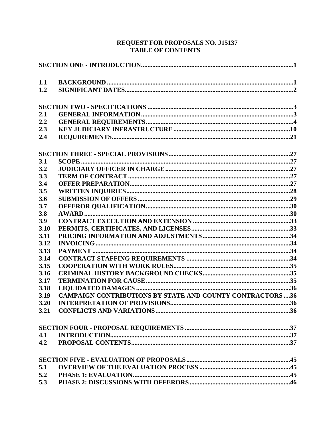# **REQUEST FOR PROPOSALS NO. J15137<br>TABLE OF CONTENTS**

| 1.1  |                                                                  |  |
|------|------------------------------------------------------------------|--|
| 1.2  |                                                                  |  |
|      |                                                                  |  |
| 2.1  |                                                                  |  |
| 2.2  |                                                                  |  |
| 2.3  |                                                                  |  |
| 2.4  |                                                                  |  |
|      |                                                                  |  |
| 3.1  |                                                                  |  |
| 3.2  |                                                                  |  |
| 3.3  |                                                                  |  |
| 3.4  |                                                                  |  |
| 3.5  |                                                                  |  |
| 3.6  |                                                                  |  |
| 3.7  |                                                                  |  |
| 3.8  |                                                                  |  |
| 3.9  |                                                                  |  |
| 3.10 |                                                                  |  |
| 3.11 |                                                                  |  |
| 3.12 |                                                                  |  |
| 3.13 |                                                                  |  |
| 3.14 |                                                                  |  |
| 3.15 |                                                                  |  |
| 3.16 |                                                                  |  |
| 3.17 |                                                                  |  |
| 3.18 |                                                                  |  |
| 3.19 | <b>CAMPAIGN CONTRIBUTIONS BY STATE AND COUNTY CONTRACTORS 36</b> |  |
| 3.20 | <b>INTERPRETATION OF PROVISIONS</b>                              |  |
|      |                                                                  |  |
|      |                                                                  |  |
| 4.1  |                                                                  |  |
|      |                                                                  |  |
|      |                                                                  |  |
| 5.1  |                                                                  |  |
|      |                                                                  |  |
|      |                                                                  |  |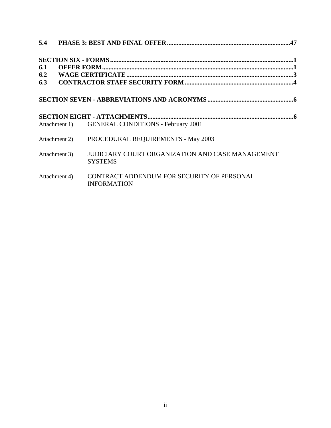| 6.1 |               |                                                                           |  |  |
|-----|---------------|---------------------------------------------------------------------------|--|--|
|     |               |                                                                           |  |  |
|     |               |                                                                           |  |  |
|     |               |                                                                           |  |  |
|     |               |                                                                           |  |  |
|     |               | Attachment 1) GENERAL CONDITIONS - February 2001                          |  |  |
|     | Attachment 2) | PROCEDURAL REQUIREMENTS - May 2003                                        |  |  |
|     | Attachment 3) | <b>JUDICIARY COURT ORGANIZATION AND CASE MANAGEMENT</b><br><b>SYSTEMS</b> |  |  |
|     | Attachment 4) | CONTRACT ADDENDUM FOR SECURITY OF PERSONAL<br><b>INFORMATION</b>          |  |  |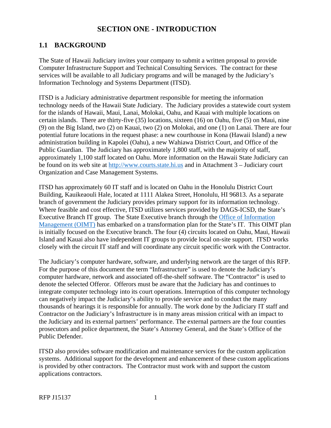# **SECTION ONE - INTRODUCTION**

## <span id="page-4-0"></span>**1.1 BACKGROUND**

The State of Hawaii Judiciary invites your company to submit a written proposal to provide Computer Infrastructure Support and Technical Consulting Services. The contract for these services will be available to all Judiciary programs and will be managed by the Judiciary's Information Technology and Systems Department (ITSD).

ITSD is a Judiciary administrative department responsible for meeting the information technology needs of the Hawaii State Judiciary. The Judiciary provides a statewide court system for the islands of Hawaii, Maui, Lanai, Molokai, Oahu, and Kauai with multiple locations on certain islands. There are thirty-five (35) locations, sixteen (16) on Oahu, five (5) on Maui, nine (9) on the Big Island, two (2) on Kauai, two (2) on Molokai, and one (1) on Lanai. There are four potential future locations in the request phase: a new courthouse in Kona (Hawaii Island) a new administration building in Kapolei (Oahu), a new Wahiawa District Court, and Office of the Public Guardian. The Judiciary has approximately 1,800 staff, with the majority of staff, approximately 1,100 staff located on Oahu. More information on the Hawaii State Judiciary can be found on its web site at http://www.courts.state.hi.us and in Attachment 3 – Judiciary court Organization and Case Management Systems.

ITSD has approximately 60 IT staff and is located on Oahu in the Honolulu District Court Building, Kauikeaouli Hale, located at 1111 Alakea Street, Honolulu, HI 96813. As a separate branch of government the Judiciary provides primary support for its information technology. Where feasible and cost effective, ITSD utilizes services provided by DAGS-ICSD, the State's Executive Branch IT group. The State Executive branch through the Office of Information Management (OIMT) has embarked on a transformation plan for the State's IT. This OIMT plan is initially focused on the Executive branch. The four (4) circuits located on Oahu, Maui, Hawaii Island and Kauai also have independent IT groups to provide local on-site support. ITSD works closely with the circuit IT staff and will coordinate any circuit specific work with the Contractor.

The Judiciary's computer hardware, software, and underlying network are the target of this RFP. For the purpose of this document the term "Infrastructure" is used to denote the Judiciary's computer hardware, network and associated off-the-shelf software. The "Contractor" is used to denote the selected Offeror. Offerors must be aware that the Judiciary has and continues to integrate computer technology into its court operations. Interruption of this computer technology can negatively impact the Judiciary's ability to provide service and to conduct the many thousands of hearings it is responsible for annually. The work done by the Judiciary IT staff and Contractor on the Judiciary's Infrastructure is in many areas mission critical with an impact to the Judiciary and its external partners' performance. The external partners are the four counties prosecutors and police department, the State's Attorney General, and the State's Office of the Public Defender.

ITSD also provides software modification and maintenance services for the custom application systems. Additional support for the development and enhancement of these custom applications is provided by other contractors. The Contractor must work with and support the custom applications contractors.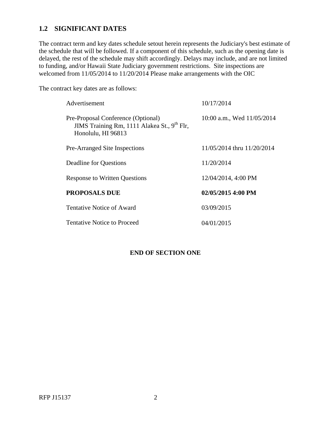## <span id="page-5-0"></span>**1.2 SIGNIFICANT DATES**

The contract term and key dates schedule setout herein represents the Judiciary's best estimate of the schedule that will be followed. If a component of this schedule, such as the opening date is delayed, the rest of the schedule may shift accordingly. Delays may include, and are not limited to funding, and/or Hawaii State Judiciary government restrictions. Site inspections are welcomed from 11/05/2014 to 11/20/2014 Please make arrangements with the OIC

The contract key dates are as follows:

| Advertisement                                                                                                       | 10/17/2014                 |
|---------------------------------------------------------------------------------------------------------------------|----------------------------|
| Pre-Proposal Conference (Optional)<br>JIMS Training Rm, 1111 Alakea St., 9 <sup>th</sup> Flr,<br>Honolulu, HI 96813 | 10:00 a.m., Wed 11/05/2014 |
| <b>Pre-Arranged Site Inspections</b>                                                                                | 11/05/2014 thru 11/20/2014 |
| <b>Deadline for Questions</b>                                                                                       | 11/20/2014                 |
| <b>Response to Written Questions</b>                                                                                | 12/04/2014, 4:00 PM        |
| <b>PROPOSALS DUE</b>                                                                                                | 02/05/2015 4:00 PM         |
| Tentative Notice of Award                                                                                           | 03/09/2015                 |
| <b>Tentative Notice to Proceed</b>                                                                                  | 04/01/2015                 |

## **END OF SECTION ONE**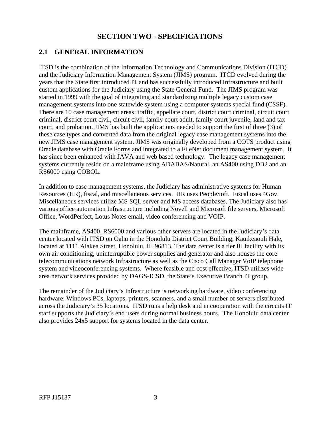# **SECTION TWO - SPECIFICATIONS**

## <span id="page-6-0"></span>**2.1 GENERAL INFORMATION**

ITSD is the combination of the Information Technology and Communications Division (ITCD) and the Judiciary Information Management System (JIMS) program. ITCD evolved during the years that the State first introduced IT and has successfully introduced Infrastructure and built custom applications for the Judiciary using the State General Fund. The JIMS program was started in 1999 with the goal of integrating and standardizing multiple legacy custom case management systems into one statewide system using a computer systems special fund (CSSF). There are 10 case management areas: traffic, appellate court, district court criminal, circuit court criminal, district court civil, circuit civil, family court adult, family court juvenile, land and tax court, and probation. JIMS has built the applications needed to support the first of three (3) of these case types and converted data from the original legacy case management systems into the new JIMS case management system. JIMS was originally developed from a COTS product using Oracle database with Oracle Forms and integrated to a FileNet document management system. It has since been enhanced with JAVA and web based technology. The legacy case management systems currently reside on a mainframe using ADABAS/Natural, an AS400 using DB2 and an RS6000 using COBOL.

In addition to case management systems, the Judiciary has administrative systems for Human Resources (HR), fiscal, and miscellaneous services. HR uses PeopleSoft. Fiscal uses 4Gov. Miscellaneous services utilize MS SQL server and MS access databases. The Judiciary also has various office automation Infrastructure including Novell and Microsoft file servers, Microsoft Office, WordPerfect, Lotus Notes email, video conferencing and VOIP.

The mainframe, AS400, RS6000 and various other servers are located in the Judiciary's data center located with ITSD on Oahu in the Honolulu District Court Building, Kauikeaouli Hale, located at 1111 Alakea Street, Honolulu, HI 96813. The data center is a tier III facility with its own air conditioning, uninterruptible power supplies and generator and also houses the core telecommunications network Infrastructure as well as the Cisco Call Manager VoIP telephone system and videoconferencing systems. Where feasible and cost effective, ITSD utilizes wide area network services provided by DAGS-ICSD, the State's Executive Branch IT group.

The remainder of the Judiciary's Infrastructure is networking hardware, video conferencing hardware, Windows PCs, laptops, printers, scanners, and a small number of servers distributed across the Judiciary's 35 locations. ITSD runs a help desk and in cooperation with the circuits IT staff supports the Judiciary's end users during normal business hours. The Honolulu data center also provides 24x5 support for systems located in the data center.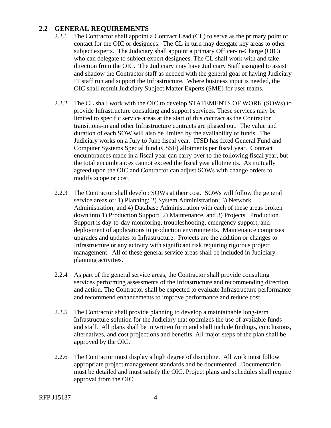## <span id="page-7-0"></span>**2.2 GENERAL REQUIREMENTS**

- 2.2.1 The Contractor shall appoint a Contract Lead (CL) to serve as the primary point of contact for the OIC or designees. The CL in turn may delegate key areas to other subject experts. The Judiciary shall appoint a primary Officer-in-Charge (OIC) who can delegate to subject expert designees. The CL shall work with and take direction from the OIC. The Judiciary may have Judiciary Staff assigned to assist and shadow the Contractor staff as needed with the general goal of having Judiciary IT staff run and support the Infrastructure. Where business input is needed, the OIC shall recruit Judiciary Subject Matter Experts (SME) for user teams.
- 2.2.2 The CL shall work with the OIC to develop STATEMENTS OF WORK (SOWs) to provide Infrastructure consulting and support services. These services may be limited to specific service areas at the start of this contract as the Contractor transitions-in and other Infrastructure contracts are phased out. The value and duration of each SOW will also be limited by the availability of funds. The Judiciary works on a July to June fiscal year. ITSD has fixed General Fund and Computer Systems Special fund (CSSF) allotments per fiscal year. Contract encumbrances made in a fiscal year can carry over to the following fiscal year, but the total encumbrances cannot exceed the fiscal year allotments. As mutually agreed upon the OIC and Contractor can adjust SOWs with change orders to modify scope or cost.
- 2.2.3 The Contractor shall develop SOWs at their cost. SOWs will follow the general service areas of: 1) Planning; 2) System Administration; 3) Network Administration; and 4) Database Administration with each of these areas broken down into 1) Production Support, 2) Maintenance, and 3) Projects. Production Support is day-to-day monitoring, troubleshooting, emergency support, and deployment of applications to production environments. Maintenance comprises upgrades and updates to Infrastructure. Projects are the addition or changes to Infrastructure or any activity with significant risk requiring rigorous project management. All of these general service areas shall be included in Judiciary planning activities.
- 2.2.4 As part of the general service areas, the Contractor shall provide consulting services performing assessments of the Infrastructure and recommending direction and action. The Contractor shall be expected to evaluate Infrastructure performance and recommend enhancements to improve performance and reduce cost.
- 2.2.5 The Contractor shall provide planning to develop a maintainable long-term Infrastructure solution for the Judiciary that optimizes the use of available funds and staff. All plans shall be in written form and shall include findings, conclusions, alternatives, and cost projections and benefits. All major steps of the plan shall be approved by the OIC.
- 2.2.6 The Contractor must display a high degree of discipline. All work must follow appropriate project management standards and be documented. Documentation must be detailed and must satisfy the OIC. Project plans and schedules shall require approval from the OIC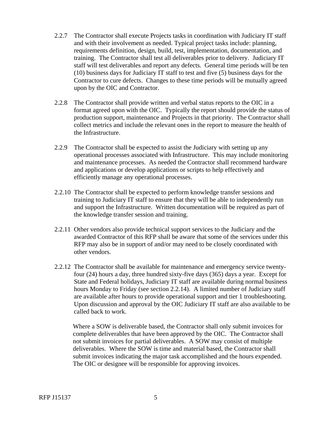- 2.2.7 The Contractor shall execute Projects tasks in coordination with Judiciary IT staff and with their involvement as needed. Typical project tasks include: planning, requirements definition, design, build, test, implementation, documentation, and training. The Contractor shall test all deliverables prior to delivery. Judiciary IT staff will test deliverables and report any defects. General time periods will be ten (10) business days for Judiciary IT staff to test and five (5) business days for the Contractor to cure defects. Changes to these time periods will be mutually agreed upon by the OIC and Contractor.
- 2.2.8 The Contractor shall provide written and verbal status reports to the OIC in a format agreed upon with the OIC. Typically the report should provide the status of production support, maintenance and Projects in that priority. The Contractor shall collect metrics and include the relevant ones in the report to measure the health of the Infrastructure.
- 2.2.9 The Contractor shall be expected to assist the Judiciary with setting up any operational processes associated with Infrastructure. This may include monitoring and maintenance processes. As needed the Contractor shall recommend hardware and applications or develop applications or scripts to help effectively and efficiently manage any operational processes.
- 2.2.10 The Contractor shall be expected to perform knowledge transfer sessions and training to Judiciary IT staff to ensure that they will be able to independently run and support the Infrastructure. Written documentation will be required as part of the knowledge transfer session and training.
- 2.2.11 Other vendors also provide technical support services to the Judiciary and the awarded Contractor of this RFP shall be aware that some of the services under this RFP may also be in support of and/or may need to be closely coordinated with other vendors.
- 2.2.12 The Contractor shall be available for maintenance and emergency service twentyfour (24) hours a day, three hundred sixty-five days (365) days a year. Except for State and Federal holidays, Judiciary IT staff are available during normal business hours Monday to Friday (see section 2.2.14). A limited number of Judiciary staff are available after hours to provide operational support and tier 1 troubleshooting. Upon discussion and approval by the OIC Judiciary IT staff are also available to be called back to work.

Where a SOW is deliverable based, the Contractor shall only submit invoices for complete deliverables that have been approved by the OIC. The Contractor shall not submit invoices for partial deliverables. A SOW may consist of multiple deliverables. Where the SOW is time and material based, the Contractor shall submit invoices indicating the major task accomplished and the hours expended. The OIC or designee will be responsible for approving invoices.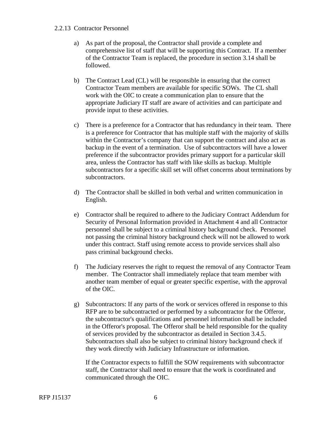#### <span id="page-9-0"></span>2.2.13 Contractor Personnel

- a) As part of the proposal, the Contractor shall provide a complete and comprehensive list of staff that will be supporting this Contract. If a member of the Contractor Team is replaced, the procedure in section 3.14 shall be followed.
- b) The Contract Lead (CL) will be responsible in ensuring that the correct Contractor Team members are available for specific SOWs. The CL shall work with the OIC to create a communication plan to ensure that the appropriate Judiciary IT staff are aware of activities and can participate and provide input to these activities.
- c) There is a preference for a Contractor that has redundancy in their team. There is a preference for Contractor that has multiple staff with the majority of skills within the Contractor's company that can support the contract and also act as backup in the event of a termination. Use of subcontractors will have a lower preference if the subcontractor provides primary support for a particular skill area, unless the Contractor has staff with like skills as backup. Multiple subcontractors for a specific skill set will offset concerns about terminations by subcontractors.
- d) The Contractor shall be skilled in both verbal and written communication in English.
- e) Contractor shall be required to adhere to the Judiciary Contract Addendum for Security of Personal Information provided in Attachment 4 and all Contractor personnel shall be subject to a criminal history background check. Personnel not passing the criminal history background check will not be allowed to work under this contract. Staff using remote access to provide services shall also pass criminal background checks.
- f) The Judiciary reserves the right to request the removal of any Contractor Team member. The Contractor shall immediately replace that team member with another team member of equal or greater specific expertise, with the approval of the OIC.
- g) Subcontractors: If any parts of the work or services offered in response to this RFP are to be subcontracted or performed by a subcontractor for the Offeror, the subcontractor's qualifications and personnel information shall be included in the Offeror's proposal. The Offeror shall be held responsible for the quality of services provided by the subcontractor as detailed in Section 3.4.5. Subcontractors shall also be subject to criminal history background check if they work directly with Judiciary Infrastructure or information.

If the Contractor expects to fulfill the SOW requirements with subcontractor staff, the Contractor shall need to ensure that the work is coordinated and communicated through the OIC.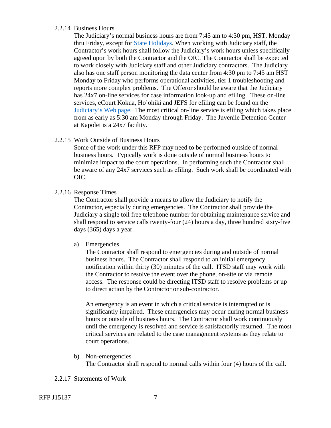#### 2.2.14 Business Hours

The Judiciary's normal business hours are from 7:45 am to 4:30 pm, HST, Monday thru Friday, except for State Holidays. When working with Judiciary staff, the Contractor's work hours shall follow the Judiciary's work hours unless specifically agreed upon by both the Contractor and the OIC. The Contractor shall be expected to work closely with Judiciary staff and other Judiciary contractors. The Judiciary also has one staff person monitoring the data center from 4:30 pm to 7:45 am HST Monday to Friday who performs operational activities, tier 1 troubleshooting and reports more complex problems. The Offeror should be aware that the Judiciary has 24x7 on-line services for case information look-up and efiling. These on-line services, eCourt Kokua, Ho'ohiki and JEFS for efiling can be found on the Judiciary's Web page. The most critical on-line service is efiling which takes place from as early as 5:30 am Monday through Friday. The Juvenile Detention Center at Kapolei is a 24x7 facility.

#### 2.2.15 Work Outside of Business Hours

Some of the work under this RFP may need to be performed outside of normal business hours. Typically work is done outside of normal business hours to minimize impact to the court operations. In performing such the Contractor shall be aware of any 24x7 services such as efiling. Such work shall be coordinated with OIC.

#### 2.2.16 Response Times

The Contractor shall provide a means to allow the Judiciary to notify the Contractor, especially during emergencies. The Contractor shall provide the Judiciary a single toll free telephone number for obtaining maintenance service and shall respond to service calls twenty-four (24) hours a day, three hundred sixty-five days (365) days a year.

#### a) Emergencies

The Contractor shall respond to emergencies during and outside of normal business hours. The Contractor shall respond to an initial emergency notification within thirty (30) minutes of the call. ITSD staff may work with the Contractor to resolve the event over the phone, on-site or via remote access. The response could be directing ITSD staff to resolve problems or up to direct action by the Contractor or sub-contractor.

An emergency is an event in which a critical service is interrupted or is significantly impaired. These emergencies may occur during normal business hours or outside of business hours. The Contractor shall work continuously until the emergency is resolved and service is satisfactorily resumed. The most critical services are related to the case management systems as they relate to court operations.

- b) Non-emergencies The Contractor shall respond to normal calls within four (4) hours of the call.
- 2.2.17 Statements of Work

RFP J15137 7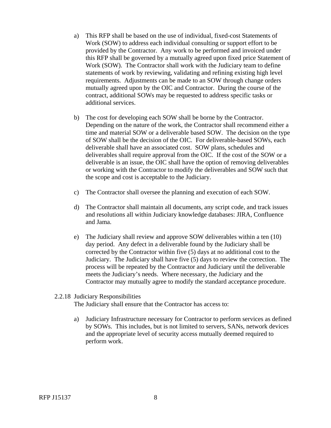- a) This RFP shall be based on the use of individual, fixed-cost Statements of Work (SOW) to address each individual consulting or support effort to be provided by the Contractor. Any work to be performed and invoiced under this RFP shall be governed by a mutually agreed upon fixed price Statement of Work (SOW). The Contractor shall work with the Judiciary team to define statements of work by reviewing, validating and refining existing high level requirements. Adjustments can be made to an SOW through change orders mutually agreed upon by the OIC and Contractor. During the course of the contract, additional SOWs may be requested to address specific tasks or additional services.
- b) The cost for developing each SOW shall be borne by the Contractor. Depending on the nature of the work, the Contractor shall recommend either a time and material SOW or a deliverable based SOW. The decision on the type of SOW shall be the decision of the OIC. For deliverable-based SOWs, each deliverable shall have an associated cost. SOW plans, schedules and deliverables shall require approval from the OIC. If the cost of the SOW or a deliverable is an issue, the OIC shall have the option of removing deliverables or working with the Contractor to modify the deliverables and SOW such that the scope and cost is acceptable to the Judiciary.
- c) The Contractor shall oversee the planning and execution of each SOW.
- d) The Contractor shall maintain all documents, any script code, and track issues and resolutions all within Judiciary knowledge databases: JIRA, Confluence and Jama.
- e) The Judiciary shall review and approve SOW deliverables within a ten (10) day period. Any defect in a deliverable found by the Judiciary shall be corrected by the Contractor within five (5) days at no additional cost to the Judiciary. The Judiciary shall have five (5) days to review the correction. The process will be repeated by the Contractor and Judiciary until the deliverable meets the Judiciary's needs. Where necessary, the Judiciary and the Contractor may mutually agree to modify the standard acceptance procedure.

#### 2.2.18 Judiciary Responsibilities

The Judiciary shall ensure that the Contractor has access to:

a) Judiciary Infrastructure necessary for Contractor to perform services as defined by SOWs. This includes, but is not limited to servers, SANs, network devices and the appropriate level of security access mutually deemed required to perform work.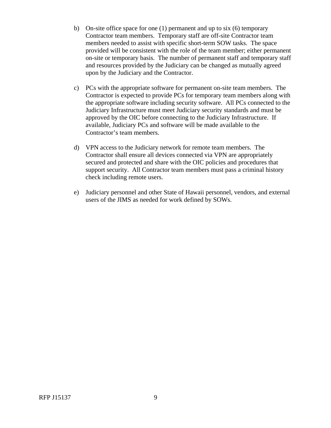- b) On-site office space for one  $(1)$  permanent and up to six  $(6)$  temporary Contractor team members. Temporary staff are off-site Contractor team members needed to assist with specific short-term SOW tasks. The space provided will be consistent with the role of the team member; either permanent on-site or temporary basis. The number of permanent staff and temporary staff and resources provided by the Judiciary can be changed as mutually agreed upon by the Judiciary and the Contractor.
- c) PCs with the appropriate software for permanent on-site team members. The Contractor is expected to provide PCs for temporary team members along with the appropriate software including security software. All PCs connected to the Judiciary Infrastructure must meet Judiciary security standards and must be approved by the OIC before connecting to the Judiciary Infrastructure. If available, Judiciary PCs and software will be made available to the Contractor's team members.
- d) VPN access to the Judiciary network for remote team members. The Contractor shall ensure all devices connected via VPN are appropriately secured and protected and share with the OIC policies and procedures that support security. All Contractor team members must pass a criminal history check including remote users.
- e) Judiciary personnel and other State of Hawaii personnel, vendors, and external users of the JIMS as needed for work defined by SOWs.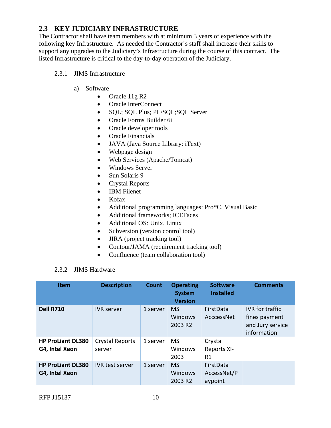# **2.3 KEY JUDICIARY INFRASTRUCTURE**

The Contractor shall have team members with at minimum 3 years of experience with the following key Infrastructure. As needed the Contractor's staff shall increase their skills to support any upgrades to the Judiciary's Infrastructure during the course of this contract. The listed Infrastructure is critical to the day-to-day operation of the Judiciary.

### 2.3.1 JIMS Infrastructure

- a) Software
	- Oracle 11g R2
	- Oracle InterConnect
	- SQL; SQL Plus; PL/SQL;SQL Server
	- Oracle Forms Builder 6i
	- Oracle developer tools
	- Oracle Financials
	- JAVA (Java Source Library: iText)
	- Webpage design
	- Web Services (Apache/Tomcat)
	- Windows Server
	- $\bullet$  Sun Solaris 9
	- Crystal Reports
	- IBM Filenet
	- Kofax
	- Additional programming languages: Pro\*C, Visual Basic
	- Additional frameworks; ICEFaces
	- Additional OS: Unix, Linux
	- Subversion (version control tool)
	- JIRA (project tracking tool)
	- Contour/JAMA (requirement tracking tool)
	- Confluence (team collaboration tool)

#### 2.3.2 JIMS Hardware

| <b>Item</b>                                | <b>Description</b>        | Count    | <b>Operating</b><br><b>System</b><br><b>Version</b> | <b>Software</b><br><b>Installed</b> | <b>Comments</b>                                                            |
|--------------------------------------------|---------------------------|----------|-----------------------------------------------------|-------------------------------------|----------------------------------------------------------------------------|
| <b>Dell R710</b>                           | <b>IVR</b> server         | 1 server | <b>MS</b><br>Windows<br>2003 R2                     | FirstData<br>AcccessNet             | <b>IVR</b> for traffic<br>fines payment<br>and Jury service<br>information |
| <b>HP ProLiant DL380</b><br>G4, Intel Xeon | Crystal Reports<br>server | 1 server | <b>MS</b><br>Windows<br>2003                        | Crystal<br><b>Reports XI-</b><br>R1 |                                                                            |
| <b>HP ProLiant DL380</b><br>G4, Intel Xeon | <b>IVR</b> test server    | 1 server | <b>MS</b><br>Windows<br>2003 R2                     | FirstData<br>AccessNet/P<br>aypoint |                                                                            |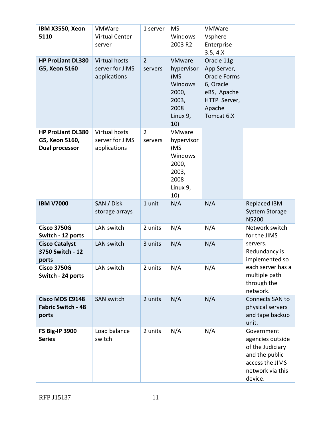| <b>IBM X3550, Xeon</b><br>5110                                      | VMWare<br><b>Virtual Center</b><br>server        | 1 server                  | <b>MS</b><br>Windows<br>2003 R2                                                            | VMWare<br>Vsphere<br>Enterprise<br>3.5, 4. X                                                                         |                                                                                                                        |
|---------------------------------------------------------------------|--------------------------------------------------|---------------------------|--------------------------------------------------------------------------------------------|----------------------------------------------------------------------------------------------------------------------|------------------------------------------------------------------------------------------------------------------------|
| <b>HP ProLiant DL380</b><br>G5, Xeon 5160                           | Virtual hosts<br>server for JIMS<br>applications | $\overline{2}$<br>servers | <b>VMware</b><br>hypervisor<br>(MS<br>Windows<br>2000,<br>2003,<br>2008<br>Linux 9,<br>10) | Oracle 11g<br>App Server,<br><b>Oracle Forms</b><br>6, Oracle<br>eBS, Apache<br>HTTP Server,<br>Apache<br>Tomcat 6.X |                                                                                                                        |
| <b>HP ProLiant DL380</b><br>G5, Xeon 5160,<br><b>Dual processor</b> | Virtual hosts<br>server for JIMS<br>applications | $\overline{2}$<br>servers | VMware<br>hypervisor<br>(MS<br><b>Windows</b><br>2000,<br>2003,<br>2008<br>Linux 9,<br>10) |                                                                                                                      |                                                                                                                        |
| <b>IBM V7000</b>                                                    | SAN / Disk<br>storage arrays                     | 1 unit                    | N/A                                                                                        | N/A                                                                                                                  | <b>Replaced IBM</b><br><b>System Storage</b><br><b>N5200</b>                                                           |
| <b>Cisco 3750G</b><br>Switch - 12 ports                             | LAN switch                                       | 2 units                   | N/A                                                                                        | N/A                                                                                                                  | Network switch<br>for the JIMS                                                                                         |
| <b>Cisco Catalyst</b><br>3750 Switch - 12<br>ports                  | LAN switch                                       | 3 units                   | N/A                                                                                        | N/A                                                                                                                  | servers.<br>Redundancy is<br>implemented so                                                                            |
| <b>Cisco 3750G</b><br>Switch - 24 ports                             | LAN switch                                       | 2 units                   | N/A                                                                                        | N/A                                                                                                                  | each server has a<br>multiple path<br>through the<br>network.                                                          |
| <b>Cisco MDS C9148</b><br><b>Fabric Switch - 48</b><br>ports        | <b>SAN switch</b>                                | 2 units                   | N/A                                                                                        | N/A                                                                                                                  | Connects SAN to<br>physical servers<br>and tape backup<br>unit.                                                        |
| F5 Big-IP 3900<br><b>Series</b>                                     | Load balance<br>switch                           | 2 units                   | N/A                                                                                        | N/A                                                                                                                  | Government<br>agencies outside<br>of the Judiciary<br>and the public<br>access the JIMS<br>network via this<br>device. |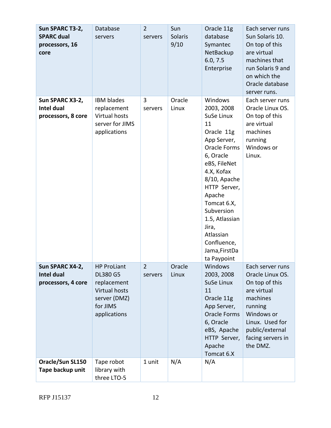| Sun SPARC T3-2,<br><b>SPARC dual</b><br>processors, 16<br>core | Database<br>servers                                                                                               | $\overline{2}$<br>servers | Sun<br><b>Solaris</b><br>9/10 | Oracle 11g<br>database<br>Symantec<br>NetBackup<br>6.0, 7.5<br>Enterprise                                                                                                                                                                                                                              | Each server runs<br>Sun Solaris 10.<br>On top of this<br>are virtual<br>machines that<br>run Solaris 9 and<br>on which the<br>Oracle database<br>server runs.                     |
|----------------------------------------------------------------|-------------------------------------------------------------------------------------------------------------------|---------------------------|-------------------------------|--------------------------------------------------------------------------------------------------------------------------------------------------------------------------------------------------------------------------------------------------------------------------------------------------------|-----------------------------------------------------------------------------------------------------------------------------------------------------------------------------------|
| Sun SPARC X3-2,<br>Intel dual<br>processors, 8 core            | <b>IBM blades</b><br>replacement<br>Virtual hosts<br>server for JIMS<br>applications                              | 3<br>servers              | Oracle<br>Linux               | Windows<br>2003, 2008<br>SuSe Linux<br>11<br>Oracle 11g<br>App Server,<br><b>Oracle Forms</b><br>6, Oracle<br>eBS, FileNet<br>4.X, Kofax<br>8/10, Apache<br>HTTP Server,<br>Apache<br>Tomcat 6.X,<br>Subversion<br>1.5, Atlassian<br>Jira,<br>Atlassian<br>Confluence,<br>Jama, FirstDa<br>ta Paypoint | Each server runs<br>Oracle Linux OS.<br>On top of this<br>are virtual<br>machines<br>running<br>Windows or<br>Linux.                                                              |
| Sun SPARC X4-2,<br>Intel dual<br>processors, 4 core            | <b>HP ProLiant</b><br><b>DL380 G5</b><br>replacement<br>Virtual hosts<br>server (DMZ)<br>for JIMS<br>applications | $\overline{2}$<br>servers | Oracle<br>Linux               | Windows<br>2003, 2008<br>SuSe Linux<br>11<br>Oracle 11g<br>App Server,<br><b>Oracle Forms</b><br>6, Oracle<br>eBS, Apache<br>HTTP Server,<br>Apache<br>Tomcat 6.X                                                                                                                                      | Each server runs<br>Oracle Linux OS.<br>On top of this<br>are virtual<br>machines<br>running<br>Windows or<br>Linux. Used for<br>public/external<br>facing servers in<br>the DMZ. |
| Oracle/Sun SL150<br>Tape backup unit                           | Tape robot<br>library with<br>three LTO-5                                                                         | 1 unit                    | N/A                           | N/A                                                                                                                                                                                                                                                                                                    |                                                                                                                                                                                   |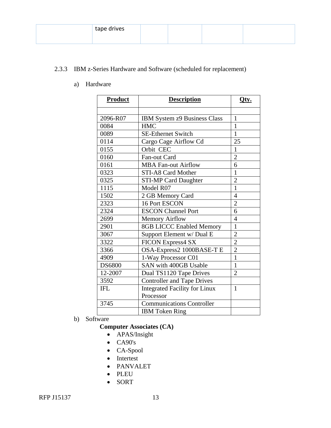| tape drives |  |  |
|-------------|--|--|
|             |  |  |

# 2.3.3 IBM z-Series Hardware and Software (scheduled for replacement)

a) Hardware

| Product       | <b>Description</b>                   | Qty.           |
|---------------|--------------------------------------|----------------|
|               |                                      |                |
| 2096-R07      | IBM System z9 Business Class         | 1              |
| 0084          | <b>HMC</b>                           | 1              |
| 0089          | <b>SE-Ethernet Switch</b>            | 1              |
| 0114          | Cargo Cage Airflow Cd                | 25             |
| 0155          | Orbit CEC                            | 1              |
| 0160          | Fan-out Card                         | $\overline{2}$ |
| 0161          | <b>MBA Fan-out Airflow</b>           | 6              |
| 0323          | STI-A8 Card Mother                   | $\mathbf{1}$   |
| 0325          | <b>STI-MP Card Daughter</b>          | $\overline{c}$ |
| 1115          | Model R07                            | $\mathbf{1}$   |
| 1502          | 2 GB Memory Card                     | $\overline{4}$ |
| 2323          | 16 Port ESCON                        | $\overline{2}$ |
| 2324          | <b>ESCON Channel Port</b>            | 6              |
| 2699          | <b>Memory Airflow</b>                | 4              |
| 2901          | <b>8GB LICCC Enabled Memory</b>      | $\mathbf{1}$   |
| 3067          | Support Element w/ Dual E            | $\overline{2}$ |
| 3322          | <b>FICON Express4 SX</b>             | $\overline{2}$ |
| 3366          | OSA-Express2 1000BASE-T E            | $\overline{2}$ |
| 4909          | 1-Way Processor C01                  | 1              |
| <b>DS6800</b> | SAN with 400GB Usable                | $\mathbf{1}$   |
| 12-2007       | Dual TS1120 Tape Drives              | $\overline{2}$ |
| 3592          | <b>Controller and Tape Drives</b>    |                |
| <b>IFL</b>    | <b>Integrated Facility for Linux</b> | 1              |
|               | Processor                            |                |
| 3745          | <b>Communications Controller</b>     |                |
|               | <b>IBM</b> Token Ring                |                |

b) Software

### **Computer Associates (CA)**

- APAS/Insight
- $\bullet$  CA90's
- CA-Spool
- Intertest
- PANVALET
- PLEU
- SORT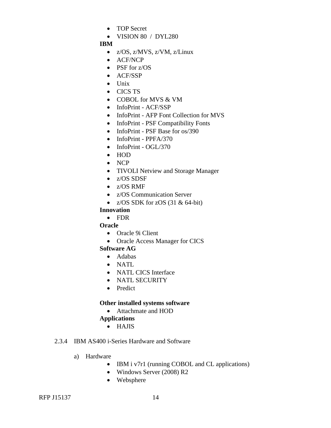- TOP Secret
- $\bullet$  VISION 80 / DYL280

## **IBM**

- z/OS, z/MVS, z/VM, z/Linux
- ACF/NCP
- PSF for z/OS
- ACF/SSP
- Unix
- CICS TS
- COBOL for MVS & VM
- InfoPrint ACF/SSP
- InfoPrint AFP Font Collection for MVS
- InfoPrint PSF Compatibility Fonts
- InfoPrint PSF Base for os/390
- $\bullet$  InfoPrint PPFA/370
- InfoPrint OGL/370
- HOD
- NCP
- TIVOLI Netview and Storage Manager
- z/OS SDSF
- z/OS RMF
- z/OS Communication Server
- $Z/OS$  SDK for  $ZOS$  (31 & 64-bit)

## **Innovation**

FDR

## **Oracle**

- Oracle 9i Client
- Oracle Access Manager for CICS

## **Software AG**

- Adabas
- NATL
- NATL CICS Interface
- NATL SECURITY
- Predict

## **Other installed systems software**

## Attachmate and HOD

- **Applications** 
	- HAJIS

## 2.3.4 IBM AS400 i-Series Hardware and Software

- a) Hardware
	- IBM i v7r1 (running COBOL and CL applications)
	- Windows Server (2008) R2
	- Websphere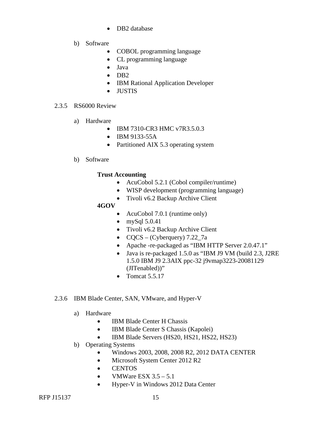- DB2 database
- b) Software
	- COBOL programming language
	- CL programming language
	- Java
	- $\bullet$  DB2
	- IBM Rational Application Developer
	- JUSTIS

#### 2.3.5 RS6000 Review

- a) Hardware
	- IBM 7310-CR3 HMC v7R3.5.0.3
	- IBM 9133-55A
	- Partitioned AIX 5.3 operating system
- b) Software

## **Trust Accounting**

- AcuCobol 5.2.1 (Cobol compiler/runtime)
- WISP development (programming language)
- Tivoli v6.2 Backup Archive Client

## **4GOV**

- AcuCobol 7.0.1 (runtime only)
- $\bullet$  mySql 5.0.41
- Tivoli v6.2 Backup Archive Client
- $CQCS (Cyberquery) 7.22<sub>1</sub>7a$
- Apache -re-packaged as "IBM HTTP Server 2.0.47.1"
- Java is re-packaged 1.5.0 as "IBM J9 VM (build 2.3, J2RE 1.5.0 IBM J9 2.3AIX ppc-32 j9vmap3223-20081129 (JITenabled))"
- Tomcat  $5.5.17$

## 2.3.6 IBM Blade Center, SAN, VMware, and Hyper-V

- a) Hardware
	- IBM Blade Center H Chassis
	- IBM Blade Center S Chassis (Kapolei)
	- IBM Blade Servers (HS20, HS21, HS22, HS23)
- b) Operating Systems
	- Windows 2003, 2008, 2008 R2, 2012 DATA CENTER
	- Microsoft System Center 2012 R2
	- CENTOS
	- VMWare ESX  $3.5 5.1$
	- Hyper-V in Windows 2012 Data Center

RFP J15137 15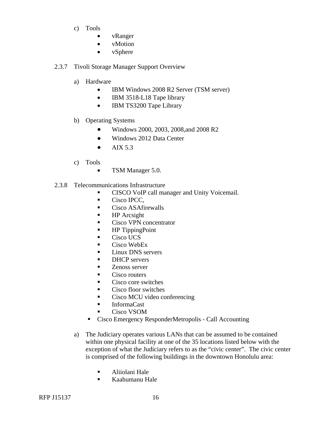- c) Tools
	- vRanger
	- vMotion
	- vSphere

#### 2.3.7 Tivoli Storage Manager Support Overview

- a) Hardware
	- IBM Windows 2008 R2 Server (TSM server)
	- IBM 3518-L18 Tape library
	- IBM TS3200 Tape Library
- b) Operating Systems
	- Windows 2000, 2003, 2008,and 2008 R2
	- Windows 2012 Data Center
	- $\bullet$  AIX 5.3
- c) Tools
	- TSM Manager 5.0.
- 2.3.8 Telecommunications Infrastructure
	- **CISCO VoIP call manager and Unity Voicemail.**
	- Cisco IPCC.
	- Cisco ASAfirewalls
	- $H$ P Arcsight
	- Cisco VPN concentrator
	- HP TippingPoint
	- Cisco UCS
	- $\blacksquare$  Cisco WebEx
	- **Linux DNS** servers
	- **DHCP** servers
	- **EXEC** Zenoss server
	- Cisco routers
	- Cisco core switches
	- Cisco floor switches
	- Cisco MCU video conferencing
	- **InformaCast**
	- Cisco VSOM
	- Cisco Emergency ResponderMetropolis Call Accounting
	- a) The Judiciary operates various LANs that can be assumed to be contained within one physical facility at one of the 35 locations listed below with the exception of what the Judiciary refers to as the "civic center". The civic center is comprised of the following buildings in the downtown Honolulu area:
		- Aliiolani Hale
		- Kaahumanu Hale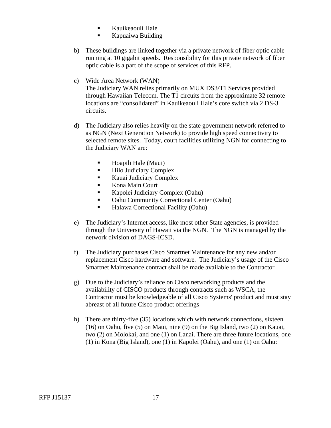- **Kauikeaouli Hale**
- **Kapuaiwa Building**
- b) These buildings are linked together via a private network of fiber optic cable running at 10 gigabit speeds. Responsibility for this private network of fiber optic cable is a part of the scope of services of this RFP.
- c) Wide Area Network (WAN) The Judiciary WAN relies primarily on MUX DS3/T1 Services provided through Hawaiian Telecom. The T1 circuits from the approximate 32 remote locations are "consolidated" in Kauikeaouli Hale's core switch via 2 DS-3 circuits.
- d) The Judiciary also relies heavily on the state government network referred to as NGN (Next Generation Network) to provide high speed connectivity to selected remote sites. Today, court facilities utilizing NGN for connecting to the Judiciary WAN are:
	- Hoapili Hale (Maui)
	- $\blacksquare$  Hilo Judiciary Complex
	- **Kauai Judiciary Complex**
	- Kona Main Court
	- Kapolei Judiciary Complex (Oahu)
	- **Oahu Community Correctional Center (Oahu)**
	- Halawa Correctional Facility (Oahu)
- e) The Judiciary's Internet access, like most other State agencies, is provided through the University of Hawaii via the NGN. The NGN is managed by the network division of DAGS-ICSD.
- f) The Judiciary purchases Cisco Smartnet Maintenance for any new and/or replacement Cisco hardware and software. The Judiciary's usage of the Cisco Smartnet Maintenance contract shall be made available to the Contractor
- g) Due to the Judiciary's reliance on Cisco networking products and the availability of CISCO products through contracts such as WSCA, the Contractor must be knowledgeable of all Cisco Systems' product and must stay abreast of all future Cisco product offerings
- h) There are thirty-five  $(35)$  locations which with network connections, sixteen (16) on Oahu, five (5) on Maui, nine (9) on the Big Island, two (2) on Kauai, two (2) on Molokai, and one (1) on Lanai. There are three future locations, one (1) in Kona (Big Island), one (1) in Kapolei (Oahu), and one (1) on Oahu: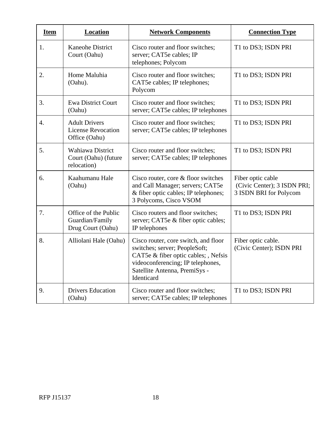| <b>Item</b>      | <b>Location</b>                                                    | <b>Network Components</b>                                                                                                                                                                         | <b>Connection Type</b>                                                     |
|------------------|--------------------------------------------------------------------|---------------------------------------------------------------------------------------------------------------------------------------------------------------------------------------------------|----------------------------------------------------------------------------|
| 1.               | <b>Kaneohe District</b><br>Court (Oahu)                            | Cisco router and floor switches;<br>server; CAT5e cables; IP<br>telephones; Polycom                                                                                                               | T1 to DS3; ISDN PRI                                                        |
| 2.               | Home Maluhia<br>(Oahu).                                            | Cisco router and floor switches;<br>CAT5e cables; IP telephones;<br>Polycom                                                                                                                       | T1 to DS3; ISDN PRI                                                        |
| 3.               | <b>Ewa District Court</b><br>(Oahu)                                | Cisco router and floor switches;<br>server; CAT5e cables; IP telephones                                                                                                                           | T1 to DS3; ISDN PRI                                                        |
| $\overline{4}$ . | <b>Adult Drivers</b><br><b>License Revocation</b><br>Office (Oahu) | Cisco router and floor switches;<br>server; CAT5e cables; IP telephones                                                                                                                           | T1 to DS3; ISDN PRI                                                        |
| 5.               | Wahiawa District<br>Court (Oahu) (future<br>relocation)            | Cisco router and floor switches;<br>server; CAT5e cables; IP telephones                                                                                                                           | T1 to DS3; ISDN PRI                                                        |
| 6.               | Kaahumanu Hale<br>(Oahu)                                           | Cisco router, core $&$ floor switches<br>and Call Manager; servers; CAT5e<br>& fiber optic cables; IP telephones;<br>3 Polycoms, Cisco VSOM                                                       | Fiber optic cable<br>(Civic Center); 3 ISDN PRI;<br>3 ISDN BRI for Polycom |
| 7.               | Office of the Public<br>Guardian/Family<br>Drug Court (Oahu)       | Cisco routers and floor switches;<br>server; CAT5e & fiber optic cables;<br>IP telephones                                                                                                         | T1 to DS3; ISDN PRI                                                        |
| 8.               | Alliolani Hale (Oahu)                                              | Cisco router, core switch, and floor<br>switches; server; PeopleSoft;<br>CAT5e & fiber optic cables; , Nefsis<br>videoconferencing; IP telephones,<br>Satellite Antenna, PremiSys -<br>Identicard | Fiber optic cable.<br>(Civic Center); ISDN PRI                             |
| 9.               | <b>Drivers Education</b><br>(Oahu)                                 | Cisco router and floor switches;<br>server; CAT5e cables; IP telephones                                                                                                                           | T1 to DS3; ISDN PRI                                                        |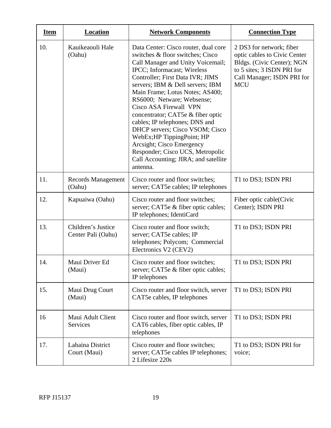| <b>Item</b> | <b>Location</b>                          | <b>Network Components</b>                                                                                                                                                                                                                                                                                                                                                                                                                                                                                                                                                    | <b>Connection Type</b>                                                                                                                                           |
|-------------|------------------------------------------|------------------------------------------------------------------------------------------------------------------------------------------------------------------------------------------------------------------------------------------------------------------------------------------------------------------------------------------------------------------------------------------------------------------------------------------------------------------------------------------------------------------------------------------------------------------------------|------------------------------------------------------------------------------------------------------------------------------------------------------------------|
| 10.         | Kauikeaouli Hale<br>(Oahu)               | Data Center: Cisco router, dual core<br>switches & floor switches; Cisco<br>Call Manager and Unity Voicemail;<br>IPCC; Informacast; Wireless<br>Controller; First Data IVR; JIMS<br>servers; IBM & Dell servers; IBM<br>Main Frame; Lotus Notes; AS400;<br>RS6000; Netware; Websense;<br>Cisco ASA Firewall VPN<br>concentrator; CAT5e & fiber optic<br>cables; IP telephones; DNS and<br>DHCP servers; Cisco VSOM; Cisco<br>WebEx; HP TippingPoint; HP<br>Arcsight; Cisco Emergency<br>Responder; Cisco UCS, Metropolic<br>Call Accounting; JIRA; and satellite<br>antenna. | 2 DS3 for network; fiber<br>optic cables to Civic Center<br>Bldgs. (Civic Center); NGN<br>to 5 sites; 3 ISDN PRI for<br>Call Manager; ISDN PRI for<br><b>MCU</b> |
| 11.         | <b>Records Management</b><br>(Oahu)      | Cisco router and floor switches;<br>server; CAT5e cables; IP telephones                                                                                                                                                                                                                                                                                                                                                                                                                                                                                                      | T1 to DS3; ISDN PRI                                                                                                                                              |
| 12.         | Kapuaiwa (Oahu)                          | Cisco router and floor switches;<br>server; CAT5e & fiber optic cables;<br>IP telephones; IdentiCard                                                                                                                                                                                                                                                                                                                                                                                                                                                                         | Fiber optic cable(Civic<br>Center); ISDN PRI                                                                                                                     |
| 13.         | Children's Justice<br>Center Pali (Oahu) | Cisco router and floor switch;<br>server; CAT5e cables; IP<br>telephones; Polycom; Commercial<br>Electronics V2 (CEV2)                                                                                                                                                                                                                                                                                                                                                                                                                                                       | T1 to DS3; ISDN PRI                                                                                                                                              |
| 14.         | Maui Driver Ed<br>(Maui)                 | Cisco router and floor switches;<br>server; CAT5e & fiber optic cables;<br>IP telephones                                                                                                                                                                                                                                                                                                                                                                                                                                                                                     | T1 to DS3; ISDN PRI                                                                                                                                              |
| 15.         | Maui Drug Court<br>(Maui)                | Cisco router and floor switch, server<br>CAT5e cables, IP telephones                                                                                                                                                                                                                                                                                                                                                                                                                                                                                                         | T1 to DS3; ISDN PRI                                                                                                                                              |
| 16          | Maui Adult Client<br>Services            | Cisco router and floor switch, server<br>CAT6 cables, fiber optic cables, IP<br>telephones                                                                                                                                                                                                                                                                                                                                                                                                                                                                                   | T1 to DS3; ISDN PRI                                                                                                                                              |
| 17.         | Lahaina District<br>Court (Maui)         | Cisco router and floor switches;<br>server; CAT5e cables IP telephones;<br>2 Lifesize 220s                                                                                                                                                                                                                                                                                                                                                                                                                                                                                   | T1 to DS3; ISDN PRI for<br>voice;                                                                                                                                |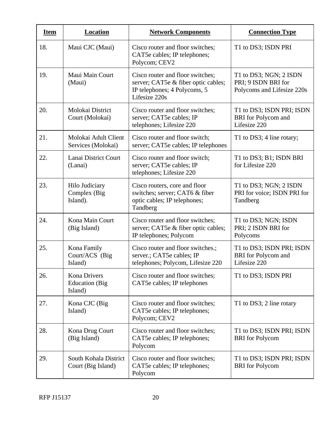| <b>Item</b> | <b>Location</b>                                          | <b>Network Components</b>                                                                                                | <b>Connection Type</b>                                                      |
|-------------|----------------------------------------------------------|--------------------------------------------------------------------------------------------------------------------------|-----------------------------------------------------------------------------|
| 18.         | Maui CJC (Maui)                                          | Cisco router and floor switches;<br>CAT5e cables; IP telephones;<br>Polycom; CEV2                                        | T1 to DS3; ISDN PRI                                                         |
| 19.         | Maui Main Court<br>(Maui)                                | Cisco router and floor switches;<br>server; CAT5e & fiber optic cables;<br>IP telephones; 4 Polycoms, 5<br>Lifesize 220s | T1 to DS3; NGN; 2 ISDN<br>PRI; 9 ISDN BRI for<br>Polycoms and Lifesize 220s |
| 20.         | Molokai District<br>Court (Molokai)                      | Cisco router and floor switches;<br>server; CAT5e cables; IP<br>telephones; Lifesize 220                                 | T1 to DS3; ISDN PRI; ISDN<br><b>BRI</b> for Polycom and<br>Lifesize 220     |
| 21.         | Molokai Adult Client<br>Services (Molokai)               | Cisco router and floor switch;<br>server; CAT5e cables; IP telephones                                                    | T1 to DS3; 4 line rotary;                                                   |
| 22.         | Lanai District Court<br>(Lanai)                          | Cisco router and floor switch;<br>server; CAT5e cables; IP<br>telephones; Lifesize 220                                   | T1 to DS3; B1; ISDN BRI<br>for Lifesize 220                                 |
| 23.         | Hilo Judiciary<br>Complex (Big<br>Island).               | Cisco routers, core and floor<br>switches; server; CAT6 & fiber<br>optic cables; IP telephones;<br>Tandberg              | T1 to DS3; NGN; 2 ISDN<br>PRI for voice; ISDN PRI for<br>Tandberg           |
| 24.         | Kona Main Court<br>(Big Island)                          | Cisco router and floor switches;<br>server; CAT5e & fiber optic cables;<br>IP telephones; Polycom                        | T1 to DS3; NGN; ISDN<br>PRI; 2 ISDN BRI for<br>Polycoms                     |
| 25.         | Kona Family<br>Court/ACS (Big<br>Island)                 | Cisco router and floor switches.;<br>server.; CAT5e cables; IP<br>telephones; Polycom, Lifesize 220                      | T1 to DS3; ISDN PRI; ISDN<br><b>BRI</b> for Polycom and<br>Lifesize 220     |
| 26.         | <b>Kona Drivers</b><br><b>Education</b> (Big)<br>Island) | Cisco router and floor switches;<br>CAT5e cables; IP telephones                                                          | T1 to DS3; ISDN PRI                                                         |
| 27.         | Kona CJC (Big<br>Island)                                 | Cisco router and floor switches;<br>CAT5e cables; IP telephones;<br>Polycom; CEV2                                        | T1 to DS3; 2 line rotary                                                    |
| 28.         | Kona Drug Court<br>(Big Island)                          | Cisco router and floor switches;<br>CAT5e cables; IP telephones;<br>Polycom                                              | T1 to DS3; ISDN PRI; ISDN<br><b>BRI</b> for Polycom                         |
| 29.         | South Kohala District<br>Court (Big Island)              | Cisco router and floor switches;<br>CAT5e cables; IP telephones;<br>Polycom                                              | T1 to DS3; ISDN PRI; ISDN<br><b>BRI</b> for Polycom                         |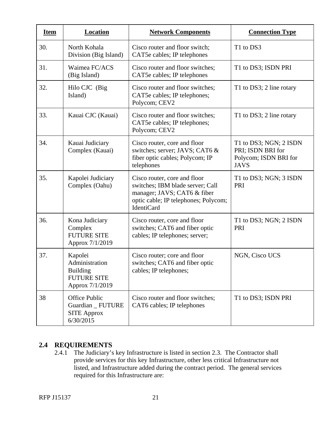| <b>Item</b> | <b>Location</b>                                                                       | <b>Network Components</b>                                                                                                                                    | <b>Connection Type</b>                                                              |
|-------------|---------------------------------------------------------------------------------------|--------------------------------------------------------------------------------------------------------------------------------------------------------------|-------------------------------------------------------------------------------------|
| 30.         | North Kohala<br>Division (Big Island)                                                 | Cisco router and floor switch;<br>CAT5e cables; IP telephones                                                                                                | T1 to DS3                                                                           |
| 31.         | Waimea FC/ACS<br>(Big Island)                                                         | Cisco router and floor switches;<br>CAT5e cables; IP telephones                                                                                              | T1 to DS3; ISDN PRI                                                                 |
| 32.         | Hilo CJC (Big<br>Island)                                                              | Cisco router and floor switches;<br>CAT5e cables; IP telephones;<br>Polycom; CEV2                                                                            | T1 to DS3; 2 line rotary                                                            |
| 33.         | Kauai CJC (Kauai)                                                                     | Cisco router and floor switches;<br>CAT5e cables; IP telephones;<br>Polycom; CEV2                                                                            | T1 to DS3; 2 line rotary                                                            |
| 34.         | Kauai Judiciary<br>Complex (Kauai)                                                    | Cisco router, core and floor<br>switches; server; JAVS; CAT6 &<br>fiber optic cables; Polycom; IP<br>telephones                                              | T1 to DS3; NGN; 2 ISDN<br>PRI; ISDN BRI for<br>Polycom; ISDN BRI for<br><b>JAVS</b> |
| 35.         | Kapolei Judiciary<br>Complex (Oahu)                                                   | Cisco router, core and floor<br>switches; IBM blade server; Call<br>manager; JAVS; CAT6 & fiber<br>optic cable; IP telephones; Polycom;<br><b>IdentiCard</b> | T1 to DS3; NGN; 3 ISDN<br>PRI                                                       |
| 36.         | Kona Judiciary<br>Complex<br><b>FUTURE SITE</b><br>Approx 7/1/2019                    | Cisco router, core and floor<br>switches; CAT6 and fiber optic<br>cables; IP telephones; server;                                                             | T1 to DS3; NGN; 2 ISDN<br>PRI                                                       |
| 37.         | Kapolei<br>Administration<br><b>Building</b><br><b>FUTURE SITE</b><br>Approx 7/1/2019 | Cisco router; core and floor<br>switches; CAT6 and fiber optic<br>cables; IP telephones;                                                                     | NGN, Cisco UCS                                                                      |
| 38          | Office Public<br>Guardian _ FUTURE<br><b>SITE Approx</b><br>6/30/2015                 | Cisco router and floor switches;<br>CAT6 cables; IP telephones                                                                                               | T1 to DS3; ISDN PRI                                                                 |

## **2.4 REQUIREMENTS**

2.4.1 The Judiciary's key Infrastructure is listed in section 2.3. The Contractor shall provide services for this key Infrastructure, other less critical Infrastructure not listed, and Infrastructure added during the contract period. The general services required for this Infrastructure are: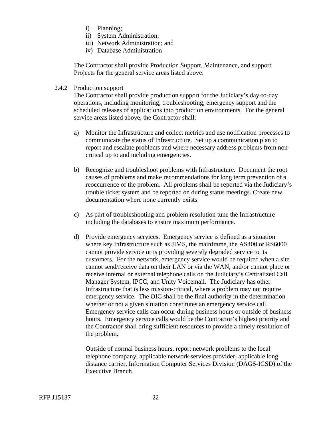- i) Planning;
- ii) System Administration;
- iii) Network Administration; and
- iv) Database Administration

The Contractor shall provide Production Support, Maintenance, and support Projects for the general service areas listed above.

#### 2.4.2 Production support

The Contractor shall provide production support for the Judiciary's day-to-day operations, including monitoring, troubleshooting, emergency support and the scheduled releases of applications into production environments. For the general service areas listed above, the Contractor shall:

- a) Monitor the Infrastructure and collect metrics and use notification processes to communicate the status of Infrastructure. Set up a communication plan to report and escalate problems and where necessary address problems from noncritical up to and including emergencies.
- b) Recognize and troubleshoot problems with Infrastructure. Document the root causes of problems and make recommendations for long term prevention of a reoccurrence of the problem. All problems shall be reported via the Judiciary's trouble ticket system and be reported on during status meetings. Create new documentation where none currently exists
- c) As part of troubleshooting and problem resolution tune the Infrastructure including the databases to ensure maximum performance.
- d) Provide emergency services. Emergency service is defined as a situation where key Infrastructure such as JIMS, the mainframe, the AS400 or RS6000 cannot provide service or is providing severely degraded service to its customers. For the network, emergency service would be required when a site cannot send/receive data on their LAN or via the WAN, and/or cannot place or receive internal or external telephone calls on the Judiciary's Centralized Call Manager System, IPCC, and Unity Voicemail. The Judiciary has other Infrastructure that is less mission-critical, where a problem may not require emergency service. The OIC shall be the final authority in the determination whether or not a given situation constitutes an emergency service call. Emergency service calls can occur during business hours or outside of business hours. Emergency service calls would be the Contractor's highest priority and the Contractor shall bring sufficient resources to provide a timely resolution of the problem.

Outside of normal business hours, report network problems to the local telephone company, applicable network services provider, applicable long distance carrier, Information Computer Services Division (DAGS-ICSD) of the Executive Branch.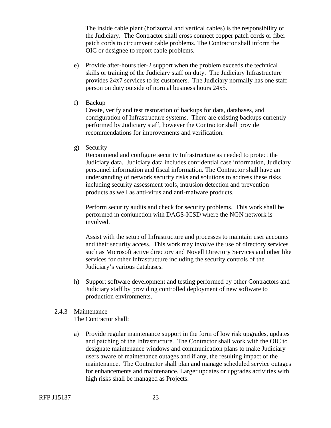The inside cable plant (horizontal and vertical cables) is the responsibility of the Judiciary. The Contractor shall cross connect copper patch cords or fiber patch cords to circumvent cable problems. The Contractor shall inform the OIC or designee to report cable problems.

- e) Provide after-hours tier-2 support when the problem exceeds the technical skills or training of the Judiciary staff on duty. The Judiciary Infrastructure provides 24x7 services to its customers. The Judiciary normally has one staff person on duty outside of normal business hours 24x5.
- f) Backup

Create, verify and test restoration of backups for data, databases, and configuration of Infrastructure systems. There are existing backups currently performed by Judiciary staff, however the Contractor shall provide recommendations for improvements and verification.

g) Security

Recommend and configure security Infrastructure as needed to protect the Judiciary data. Judiciary data includes confidential case information, Judiciary personnel information and fiscal information. The Contractor shall have an understanding of network security risks and solutions to address these risks including security assessment tools, intrusion detection and prevention products as well as anti-virus and anti-malware products.

Perform security audits and check for security problems. This work shall be performed in conjunction with DAGS-ICSD where the NGN network is involved.

Assist with the setup of Infrastructure and processes to maintain user accounts and their security access. This work may involve the use of directory services such as Microsoft active directory and Novell Directory Services and other like services for other Infrastructure including the security controls of the Judiciary's various databases.

h) Support software development and testing performed by other Contractors and Judiciary staff by providing controlled deployment of new software to production environments.

#### 2.4.3 Maintenance

The Contractor shall:

a) Provide regular maintenance support in the form of low risk upgrades, updates and patching of the Infrastructure. The Contractor shall work with the OIC to designate maintenance windows and communication plans to make Judiciary users aware of maintenance outages and if any, the resulting impact of the maintenance. The Contractor shall plan and manage scheduled service outages for enhancements and maintenance. Larger updates or upgrades activities with high risks shall be managed as Projects.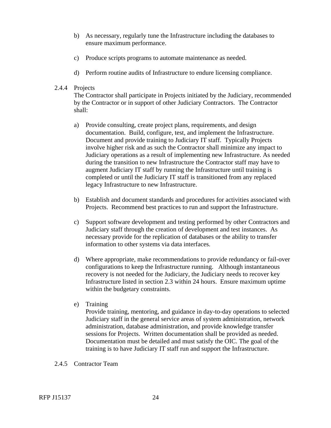- b) As necessary, regularly tune the Infrastructure including the databases to ensure maximum performance.
- c) Produce scripts programs to automate maintenance as needed.
- d) Perform routine audits of Infrastructure to endure licensing compliance.

#### 2.4.4 Projects

The Contractor shall participate in Projects initiated by the Judiciary, recommended by the Contractor or in support of other Judiciary Contractors. The Contractor shall:

- a) Provide consulting, create project plans, requirements, and design documentation. Build, configure, test, and implement the Infrastructure. Document and provide training to Judiciary IT staff. Typically Projects involve higher risk and as such the Contractor shall minimize any impact to Judiciary operations as a result of implementing new Infrastructure. As needed during the transition to new Infrastructure the Contractor staff may have to augment Judiciary IT staff by running the Infrastructure until training is completed or until the Judiciary IT staff is transitioned from any replaced legacy Infrastructure to new Infrastructure.
- b) Establish and document standards and procedures for activities associated with Projects. Recommend best practices to run and support the Infrastructure.
- c) Support software development and testing performed by other Contractors and Judiciary staff through the creation of development and test instances. As necessary provide for the replication of databases or the ability to transfer information to other systems via data interfaces.
- d) Where appropriate, make recommendations to provide redundancy or fail-over configurations to keep the Infrastructure running. Although instantaneous recovery is not needed for the Judiciary, the Judiciary needs to recover key Infrastructure listed in section 2.3 within 24 hours. Ensure maximum uptime within the budgetary constraints.
- e) Training

Provide training, mentoring, and guidance in day-to-day operations to selected Judiciary staff in the general service areas of system administration, network administration, database administration, and provide knowledge transfer sessions for Projects. Written documentation shall be provided as needed. Documentation must be detailed and must satisfy the OIC. The goal of the training is to have Judiciary IT staff run and support the Infrastructure.

2.4.5 Contractor Team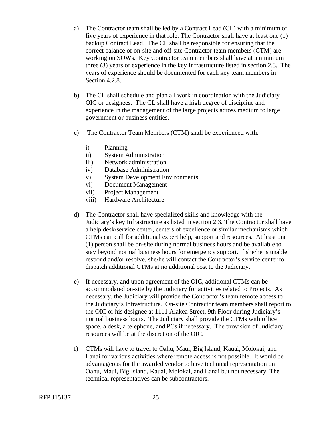- a) The Contractor team shall be led by a Contract Lead (CL) with a minimum of five years of experience in that role. The Contractor shall have at least one (1) backup Contract Lead. The CL shall be responsible for ensuring that the correct balance of on-site and off-site Contractor team members (CTM) are working on SOWs. Key Contractor team members shall have at a minimum three (3) years of experience in the key Infrastructure listed in section 2.3. The years of experience should be documented for each key team members in Section 4.2.8.
- b) The CL shall schedule and plan all work in coordination with the Judiciary OIC or designees. The CL shall have a high degree of discipline and experience in the management of the large projects across medium to large government or business entities.
- c) The Contractor Team Members (CTM) shall be experienced with:
	- i) Planning
	- ii) System Administration
	- iii) Network administration
	- iv) Database Administration
	- v) System Development Environments
	- vi) Document Management
	- vii) Project Management
	- viii) Hardware Architecture
- d) The Contractor shall have specialized skills and knowledge with the Judiciary's key Infrastructure as listed in section 2.3. The Contractor shall have a help desk/service center, centers of excellence or similar mechanisms which CTMs can call for additional expert help, support and resources. At least one (1) person shall be on-site during normal business hours and be available to stay beyond normal business hours for emergency support. If she/he is unable respond and/or resolve, she/he will contact the Contractor's service center to dispatch additional CTMs at no additional cost to the Judiciary.
- e) If necessary, and upon agreement of the OIC, additional CTMs can be accommodated on-site by the Judiciary for activities related to Projects. As necessary, the Judiciary will provide the Contractor's team remote access to the Judiciary's Infrastructure. On-site Contractor team members shall report to the OIC or his designee at 1111 Alakea Street, 9th Floor during Judiciary's normal business hours. The Judiciary shall provide the CTMs with office space, a desk, a telephone, and PCs if necessary. The provision of Judiciary resources will be at the discretion of the OIC.
- f) CTMs will have to travel to Oahu, Maui, Big Island, Kauai, Molokai, and Lanai for various activities where remote access is not possible. It would be advantageous for the awarded vendor to have technical representation on Oahu, Maui, Big Island, Kauai, Molokai, and Lanai but not necessary. The technical representatives can be subcontractors.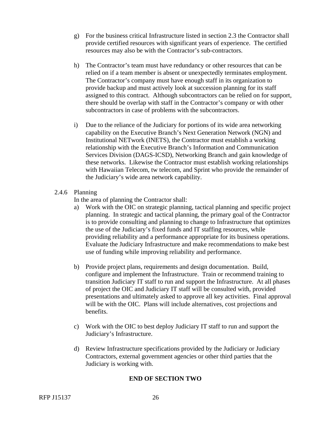- g) For the business critical Infrastructure listed in section 2.3 the Contractor shall provide certified resources with significant years of experience. The certified resources may also be with the Contractor's sub-contractors.
- h) The Contractor's team must have redundancy or other resources that can be relied on if a team member is absent or unexpectedly terminates employment. The Contractor's company must have enough staff in its organization to provide backup and must actively look at succession planning for its staff assigned to this contract. Although subcontractors can be relied on for support, there should be overlap with staff in the Contractor's company or with other subcontractors in case of problems with the subcontractors.
- i) Due to the reliance of the Judiciary for portions of its wide area networking capability on the Executive Branch's Next Generation Network (NGN) and Institutional NETwork (INETS), the Contractor must establish a working relationship with the Executive Branch's Information and Communication Services Division (DAGS-ICSD), Networking Branch and gain knowledge of these networks. Likewise the Contractor must establish working relationships with Hawaiian Telecom, tw telecom, and Sprint who provide the remainder of the Judiciary's wide area network capability.
- 2.4.6 Planning

In the area of planning the Contractor shall:

- a) Work with the OIC on strategic planning, tactical planning and specific project planning. In strategic and tactical planning, the primary goal of the Contractor is to provide consulting and planning to change to Infrastructure that optimizes the use of the Judiciary's fixed funds and IT staffing resources, while providing reliability and a performance appropriate for its business operations. Evaluate the Judiciary Infrastructure and make recommendations to make best use of funding while improving reliability and performance.
- b) Provide project plans, requirements and design documentation. Build, configure and implement the Infrastructure. Train or recommend training to transition Judiciary IT staff to run and support the Infrastructure. At all phases of project the OIC and Judiciary IT staff will be consulted with, provided presentations and ultimately asked to approve all key activities. Final approval will be with the OIC. Plans will include alternatives, cost projections and benefits.
- c) Work with the OIC to best deploy Judiciary IT staff to run and support the Judiciary's Infrastructure.
- d) Review Infrastructure specifications provided by the Judiciary or Judiciary Contractors, external government agencies or other third parties that the Judiciary is working with.

## **END OF SECTION TWO**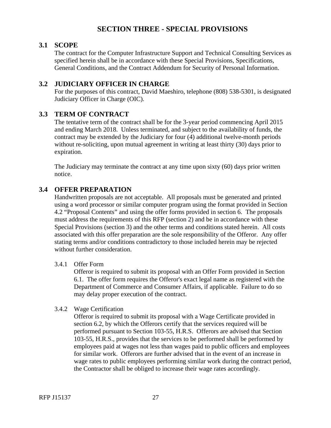# **SECTION THREE - SPECIAL PROVISIONS**

## <span id="page-30-0"></span>**3.1 SCOPE**

The contract for the Computer Infrastructure Support and Technical Consulting Services as specified herein shall be in accordance with these Special Provisions, Specifications, General Conditions, and the Contract Addendum for Security of Personal Information.

## **3.2 JUDICIARY OFFICER IN CHARGE**

For the purposes of this contract, David Maeshiro, telephone (808) 538-5301, is designated Judiciary Officer in Charge (OIC).

## **3.3 TERM OF CONTRACT**

The tentative term of the contract shall be for the 3-year period commencing April 2015 and ending March 2018. Unless terminated, and subject to the availability of funds, the contract may be extended by the Judiciary for four (4) additional twelve-month periods without re-soliciting, upon mutual agreement in writing at least thirty (30) days prior to expiration.

The Judiciary may terminate the contract at any time upon sixty (60) days prior written notice.

## **3.4 OFFER PREPARATION**

Handwritten proposals are not acceptable. All proposals must be generated and printed using a word processor or similar computer program using the format provided in Section 4.2 "Proposal Contents" and using the offer forms provided in section 6. The proposals must address the requirements of this RFP (section 2) and be in accordance with these Special Provisions (section 3) and the other terms and conditions stated herein. All costs associated with this offer preparation are the sole responsibility of the Offeror. Any offer stating terms and/or conditions contradictory to those included herein may be rejected without further consideration.

#### 3.4.1 Offer Form

Offeror is required to submit its proposal with an Offer Form provided in Section 6.1. The offer form requires the Offeror's exact legal name as registered with the Department of Commerce and Consumer Affairs, if applicable. Failure to do so may delay proper execution of the contract.

#### 3.4.2 Wage Certification

Offeror is required to submit its proposal with a Wage Certificate provided in section 6.2, by which the Offerors certify that the services required will be performed pursuant to Section 103-55, H.R.S. Offerors are advised that Section 103-55, H.R.S., provides that the services to be performed shall be performed by employees paid at wages not less than wages paid to public officers and employees for similar work. Offerors are further advised that in the event of an increase in wage rates to public employees performing similar work during the contract period, the Contractor shall be obliged to increase their wage rates accordingly.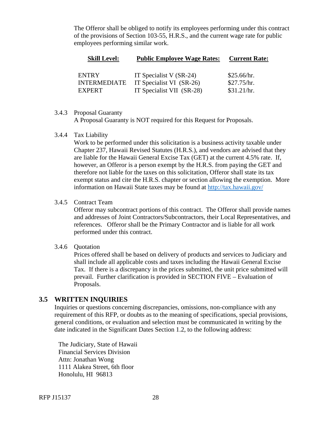<span id="page-31-0"></span>The Offeror shall be obliged to notify its employees performing under this contract of the provisions of Section 103-55, H.R.S., and the current wage rate for public employees performing similar work.

| <b>Skill Level:</b> | <b>Public Employee Wage Rates:</b> | <b>Current Rate:</b> |
|---------------------|------------------------------------|----------------------|
| <b>ENTRY</b>        | IT Specialist V $(SR-24)$          | \$25.66/hr.          |
| <b>INTERMEDIATE</b> | IT Specialist VI (SR-26)           | \$27.75/hr.          |
| <b>EXPERT</b>       | IT Specialist VII (SR-28)          | \$31.21/hr.          |

#### 3.4.3 Proposal Guaranty

A Proposal Guaranty is NOT required for this Request for Proposals.

#### 3.4.4 Tax Liability

Work to be performed under this solicitation is a business activity taxable under Chapter 237, Hawaii Revised Statutes (H.R.S.), and vendors are advised that they are liable for the Hawaii General Excise Tax (GET) at the current 4.5% rate. If, however, an Offeror is a person exempt by the H.R.S. from paying the GET and therefore not liable for the taxes on this solicitation, Offeror shall state its tax exempt status and cite the H.R.S. chapter or section allowing the exemption. More information on Hawaii State taxes may be found at http://tax.hawaii.gov/

#### 3.4.5 Contract Team

Offeror may subcontract portions of this contract. The Offeror shall provide names and addresses of Joint Contractors/Subcontractors, their Local Representatives, and references. Offeror shall be the Primary Contractor and is liable for all work performed under this contract.

#### 3.4.6 Quotation

Prices offered shall be based on delivery of products and services to Judiciary and shall include all applicable costs and taxes including the Hawaii General Excise Tax. If there is a discrepancy in the prices submitted, the unit price submitted will prevail. Further clarification is provided in SECTION FIVE – Evaluation of Proposals.

#### **3.5 WRITTEN INQUIRIES**

Inquiries or questions concerning discrepancies, omissions, non-compliance with any requirement of this RFP, or doubts as to the meaning of specifications, special provisions, general conditions, or evaluation and selection must be communicated in writing by the date indicated in the Significant Dates Section 1.2, to the following address:

The Judiciary, State of Hawaii Financial Services Division Attn: Jonathan Wong 1111 Alakea Street, 6th floor Honolulu, HI 96813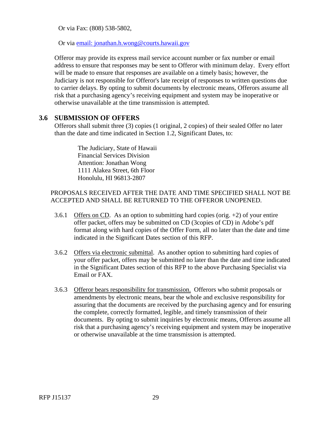<span id="page-32-0"></span>Or via Fax: (808) 538-5802,

Or via email: jonathan.h.wong@courts.hawaii.gov

Offeror may provide its express mail service account number or fax number or email address to ensure that responses may be sent to Offeror with minimum delay. Every effort will be made to ensure that responses are available on a timely basis; however, the Judiciary is not responsible for Offeror's late receipt of responses to written questions due to carrier delays. By opting to submit documents by electronic means, Offerors assume all risk that a purchasing agency's receiving equipment and system may be inoperative or otherwise unavailable at the time transmission is attempted.

## **3.6 SUBMISSION OF OFFERS**

Offerors shall submit three (3) copies (1 original, 2 copies) of their sealed Offer no later than the date and time indicated in Section 1.2, Significant Dates, to:

> The Judiciary, State of Hawaii Financial Services Division Attention: Jonathan Wong 1111 Alakea Street, 6th Floor Honolulu, HI 96813-2807

## PROPOSALS RECEIVED AFTER THE DATE AND TIME SPECIFIED SHALL NOT BE ACCEPTED AND SHALL BE RETURNED TO THE OFFEROR UNOPENED.

- 3.6.1 Offers on CD. As an option to submitting hard copies (orig.  $+2$ ) of your entire offer packet, offers may be submitted on CD (3copies of CD) in Adobe's pdf format along with hard copies of the Offer Form, all no later than the date and time indicated in the Significant Dates section of this RFP.
- 3.6.2 Offers via electronic submittal. As another option to submitting hard copies of your offer packet, offers may be submitted no later than the date and time indicated in the Significant Dates section of this RFP to the above Purchasing Specialist via Email or FAX.
- 3.6.3 Offeror bears responsibility for transmission. Offerors who submit proposals or amendments by electronic means, bear the whole and exclusive responsibility for assuring that the documents are received by the purchasing agency and for ensuring the complete, correctly formatted, legible, and timely transmission of their documents. By opting to submit inquiries by electronic means, Offerors assume all risk that a purchasing agency's receiving equipment and system may be inoperative or otherwise unavailable at the time transmission is attempted.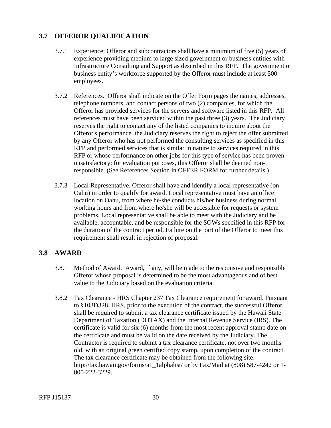# <span id="page-33-0"></span>**3.7 OFFEROR QUALIFICATION**

- 3.7.1 Experience: Offeror and subcontractors shall have a minimum of five (5) years of experience providing medium to large sized government or business entities with Infrastructure Consulting and Support as described in this RFP. The government or business entity's workforce supported by the Offeror must include at least 500 employees.
- 3.7.2 References. Offeror shall indicate on the Offer Form pages the names, addresses, telephone numbers, and contact persons of two (2) companies, for which the Offeror has provided services for the servers and software listed in this RFP. All references must have been serviced within the past three (3) years. The Judiciary reserves the right to contact any of the listed companies to inquire about the Offeror's performance. the Judiciary reserves the right to reject the offer submitted by any Offeror who has not performed the consulting services as specified in this RFP and performed services that is similar in nature to services required in this RFP or whose performance on other jobs for this type of service has been proven unsatisfactory; for evaluation purposes, this Offeror shall be deemed nonresponsible. (See References Section in OFFER FORM for further details.)
- 3.7.3 Local Representative. Offeror shall have and identify a local representative (on Oahu) in order to qualify for award. Local representative must have an office location on Oahu, from where he/she conducts his/her business during normal working hours and from where he/she will be accessible for requests or system problems. Local representative shall be able to meet with the Judiciary and be available, accountable, and be responsible for the SOWs specified in this RFP for the duration of the contract period. Failure on the part of the Offeror to meet this requirement shall result in rejection of proposal.

## **3.8 AWARD**

- 3.8.1 Method of Award. Award, if any, will be made to the responsive and responsible Offeror whose proposal is determined to be the most advantageous and of best value to the Judiciary based on the evaluation criteria.
- 3.8.2 Tax Clearance HRS Chapter 237 Tax Clearance requirement for award. Pursuant to §103D328, HRS, prior to the execution of the contract, the successful Offeror shall be required to submit a tax clearance certificate issued by the Hawaii State Department of Taxation (DOTAX) and the Internal Revenue Service (IRS). The certificate is valid for six (6) months from the most recent approval stamp date on the certificate and must be valid on the date received by the Judiciary. The Contractor is required to submit a tax clearance certificate, not over two months old, with an original green certified copy stamp, upon completion of the contract. The tax clearance certificate may be obtained from the following site: http://tax.hawaii.gov/forms/a1\_1alphalist/ or by Fax/Mail at (808) 587-4242 or 1- 800-222-3229.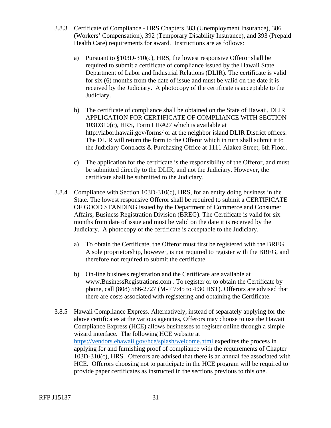- 3.8.3 Certificate of Compliance HRS Chapters 383 (Unemployment Insurance), 386 (Workers' Compensation), 392 (Temporary Disability Insurance), and 393 (Prepaid Health Care) requirements for award. Instructions are as follows:
	- a) Pursuant to  $$103D-310(c)$ , HRS, the lowest responsive Offeror shall be required to submit a certificate of compliance issued by the Hawaii State Department of Labor and Industrial Relations (DLIR). The certificate is valid for six (6) months from the date of issue and must be valid on the date it is received by the Judiciary. A photocopy of the certificate is acceptable to the Judiciary.
	- b) The certificate of compliance shall be obtained on the State of Hawaii, DLIR APPLICATION FOR CERTIFICATE OF COMPLIANCE WITH SECTION 103D310(c), HRS, Form LIR#27 which is available at http://labor.hawaii.gov/forms/ or at the neighbor island DLIR District offices. The DLIR will return the form to the Offeror which in turn shall submit it to the Judiciary Contracts & Purchasing Office at 1111 Alakea Street, 6th Floor.
	- c) The application for the certificate is the responsibility of the Offeror, and must be submitted directly to the DLIR, and not the Judiciary. However, the certificate shall be submitted to the Judiciary.
- 3.8.4 Compliance with Section 103D-310(c), HRS, for an entity doing business in the State. The lowest responsive Offeror shall be required to submit a CERTIFICATE OF GOOD STANDING issued by the Department of Commerce and Consumer Affairs, Business Registration Division (BREG). The Certificate is valid for six months from date of issue and must be valid on the date it is received by the Judiciary. A photocopy of the certificate is acceptable to the Judiciary.
	- a) To obtain the Certificate, the Offeror must first be registered with the BREG. A sole proprietorship, however, is not required to register with the BREG, and therefore not required to submit the certificate.
	- b) On-line business registration and the Certificate are available at www.BusinessRegistrations.com . To register or to obtain the Certificate by phone, call (808) 586-2727 (M-F 7:45 to 4:30 HST). Offerors are advised that there are costs associated with registering and obtaining the Certificate.
- wizard interface. The following HCE website at 3.8.5 Hawaii Compliance Express. Alternatively, instead of separately applying for the above certificates at the various agencies, Offerors may choose to use the Hawaii Compliance Express (HCE) allows businesses to register online through a simple https://vendors.ehawaii.gov/hce/splash/welcome.html expedites the process in applying for and furnishing proof of compliance with the requirements of Chapter 103D-310(c), HRS. Offerors are advised that there is an annual fee associated with HCE. Offerors choosing not to participate in the HCE program will be required to provide paper certificates as instructed in the sections previous to this one.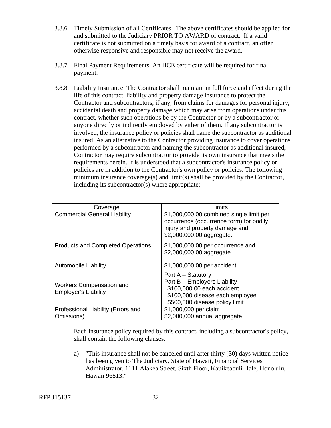- 3.8.6 Timely Submission of all Certificates. The above certificates should be applied for and submitted to the Judiciary PRIOR TO AWARD of contract. If a valid certificate is not submitted on a timely basis for award of a contract, an offer otherwise responsive and responsible may not receive the award.
- 3.8.7 Final Payment Requirements. An HCE certificate will be required for final payment.
- 3.8.8 Liability Insurance. The Contractor shall maintain in full force and effect during the life of this contract, liability and property damage insurance to protect the Contractor and subcontractors, if any, from claims for damages for personal injury, accidental death and property damage which may arise from operations under this contract, whether such operations be by the Contractor or by a subcontractor or anyone directly or indirectly employed by either of them. If any subcontractor is involved, the insurance policy or policies shall name the subcontractor as additional insured. As an alternative to the Contractor providing insurance to cover operations performed by a subcontractor and naming the subcontractor as additional insured, Contractor may require subcontractor to provide its own insurance that meets the requirements herein. It is understood that a subcontractor's insurance policy or policies are in addition to the Contractor's own policy or policies. The following minimum insurance coverage(s) and limit(s) shall be provided by the Contractor, including its subcontractor(s) where appropriate:

| Coverage                                                       | Limits                                                                                                                                                |
|----------------------------------------------------------------|-------------------------------------------------------------------------------------------------------------------------------------------------------|
| <b>Commercial General Liability</b>                            | \$1,000,000.00 combined single limit per<br>occurrence (occurrence form) for bodily<br>injury and property damage and;<br>\$2,000,000.00 aggregate.   |
| <b>Products and Completed Operations</b>                       | \$1,000,000.00 per occurrence and<br>\$2,000,000.00 aggregate                                                                                         |
| Automobile Liability                                           | \$1,000,000.00 per accident                                                                                                                           |
| <b>Workers Compensation and</b><br><b>Employer's Liability</b> | Part A - Statutory<br>Part B - Employers Liability<br>\$100,000.00 each accident<br>\$100,000 disease each employee<br>\$500,000 disease policy limit |
| Professional Liability (Errors and<br>Omissions)               | \$1,000,000 per claim<br>\$2,000,000 annual aggregate                                                                                                 |

Each insurance policy required by this contract, including a subcontractor's policy, shall contain the following clauses:

a) "This insurance shall not be canceled until after thirty (30) days written notice has been given to The Judiciary, State of Hawaii, Financial Services Administrator, 1111 Alakea Street, Sixth Floor, Kauikeaouli Hale, Honolulu, Hawaii 96813."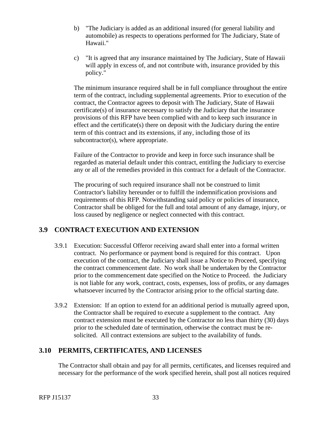- <span id="page-36-0"></span>b) "The Judiciary is added as an additional insured (for general liability and automobile) as respects to operations performed for The Judiciary, State of Hawaii."
- c) "It is agreed that any insurance maintained by The Judiciary, State of Hawaii will apply in excess of, and not contribute with, insurance provided by this policy."

The minimum insurance required shall be in full compliance throughout the entire term of the contract, including supplemental agreements. Prior to execution of the contract, the Contractor agrees to deposit with The Judiciary, State of Hawaii certificate(s) of insurance necessary to satisfy the Judiciary that the insurance provisions of this RFP have been complied with and to keep such insurance in effect and the certificate(s) there on deposit with the Judiciary during the entire term of this contract and its extensions, if any, including those of its subcontractor(s), where appropriate.

Failure of the Contractor to provide and keep in force such insurance shall be regarded as material default under this contract, entitling the Judiciary to exercise any or all of the remedies provided in this contract for a default of the Contractor.

The procuring of such required insurance shall not be construed to limit Contractor's liability hereunder or to fulfill the indemnification provisions and requirements of this RFP. Notwithstanding said policy or policies of insurance, Contractor shall be obliged for the full and total amount of any damage, injury, or loss caused by negligence or neglect connected with this contract.

# **3.9 CONTRACT EXECUTION AND EXTENSION**

- 3.9.1 Execution: Successful Offeror receiving award shall enter into a formal written contract. No performance or payment bond is required for this contract. Upon execution of the contract, the Judiciary shall issue a Notice to Proceed, specifying the contract commencement date. No work shall be undertaken by the Contractor prior to the commencement date specified on the Notice to Proceed. the Judiciary is not liable for any work, contract, costs, expenses, loss of profits, or any damages whatsoever incurred by the Contractor arising prior to the official starting date.
- 3.9.2 Extension: If an option to extend for an additional period is mutually agreed upon, the Contractor shall be required to execute a supplement to the contract. Any contract extension must be executed by the Contractor no less than thirty (30) days prior to the scheduled date of termination, otherwise the contract must be resolicited. All contract extensions are subject to the availability of funds.

# **3.10 PERMITS, CERTIFICATES, AND LICENSES**

The Contractor shall obtain and pay for all permits, certificates, and licenses required and necessary for the performance of the work specified herein, shall post all notices required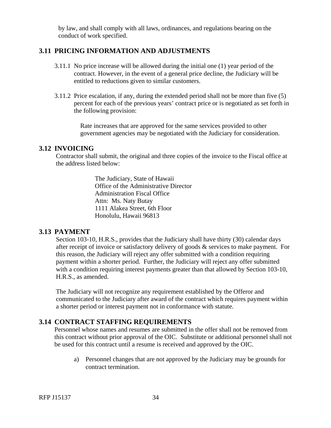by law, and shall comply with all laws, ordinances, and regulations bearing on the conduct of work specified.

## <span id="page-37-0"></span>**3.11 PRICING INFORMATION AND ADJUSTMENTS**

- 3.11.1 No price increase will be allowed during the initial one (1) year period of the contract. However, in the event of a general price decline, the Judiciary will be entitled to reductions given to similar customers.
- 3.11.2 Price escalation, if any, during the extended period shall not be more than five (5) percent for each of the previous years' contract price or is negotiated as set forth in the following provision:

Rate increases that are approved for the same services provided to other government agencies may be negotiated with the Judiciary for consideration.

#### **3.12 INVOICING**

Contractor shall submit, the original and three copies of the invoice to the Fiscal office at the address listed below:

> The Judiciary, State of Hawaii Office of the Administrative Director Administration Fiscal Office Attn: Ms. Naty Butay 1111 Alakea Street, 6th Floor Honolulu, Hawaii 96813

## **3.13 PAYMENT**

Section 103-10, H.R.S., provides that the Judiciary shall have thirty (30) calendar days after receipt of invoice or satisfactory delivery of goods & services to make payment. For this reason, the Judiciary will reject any offer submitted with a condition requiring payment within a shorter period. Further, the Judiciary will reject any offer submitted with a condition requiring interest payments greater than that allowed by Section 103-10, H.R.S., as amended.

The Judiciary will not recognize any requirement established by the Offeror and communicated to the Judiciary after award of the contract which requires payment within a shorter period or interest payment not in conformance with statute.

## **3.14 CONTRACT STAFFING REQUIREMENTS**

Personnel whose names and resumes are submitted in the offer shall not be removed from this contract without prior approval of the OIC. Substitute or additional personnel shall not be used for this contract until a resume is received and approved by the OIC.

a) Personnel changes that are not approved by the Judiciary may be grounds for contract termination.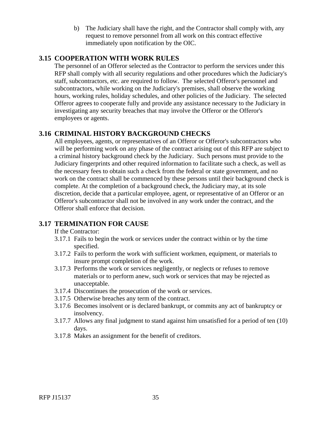b) The Judiciary shall have the right, and the Contractor shall comply with, any request to remove personnel from all work on this contract effective immediately upon notification by the OIC.

## <span id="page-38-0"></span>**3.15 COOPERATION WITH WORK RULES**

The personnel of an Offeror selected as the Contractor to perform the services under this RFP shall comply with all security regulations and other procedures which the Judiciary's staff, subcontractors, etc. are required to follow. The selected Offeror's personnel and subcontractors, while working on the Judiciary's premises, shall observe the working hours, working rules, holiday schedules, and other policies of the Judiciary. The selected Offeror agrees to cooperate fully and provide any assistance necessary to the Judiciary in investigating any security breaches that may involve the Offeror or the Offeror's employees or agents.

# **3.16 CRIMINAL HISTORY BACKGROUND CHECKS**

All employees, agents, or representatives of an Offeror or Offeror's subcontractors who will be performing work on any phase of the contract arising out of this RFP are subject to a criminal history background check by the Judiciary. Such persons must provide to the Judiciary fingerprints and other required information to facilitate such a check, as well as the necessary fees to obtain such a check from the federal or state government, and no work on the contract shall be commenced by these persons until their background check is complete. At the completion of a background check, the Judiciary may, at its sole discretion, decide that a particular employee, agent, or representative of an Offeror or an Offeror's subcontractor shall not be involved in any work under the contract, and the Offeror shall enforce that decision.

# **3.17 TERMINATION FOR CAUSE**

## If the Contractor:

- 3.17.1 Fails to begin the work or services under the contract within or by the time specified.
- 3.17.2 Fails to perform the work with sufficient workmen, equipment, or materials to insure prompt completion of the work.
- 3.17.3 Performs the work or services negligently, or neglects or refuses to remove materials or to perform anew, such work or services that may be rejected as unacceptable.
- 3.17.4 Discontinues the prosecution of the work or services.
- 3.17.5 Otherwise breaches any term of the contract.
- 3.17.6 Becomes insolvent or is declared bankrupt, or commits any act of bankruptcy or insolvency.
- 3.17.7 Allows any final judgment to stand against him unsatisfied for a period of ten (10) days.
- 3.17.8 Makes an assignment for the benefit of creditors.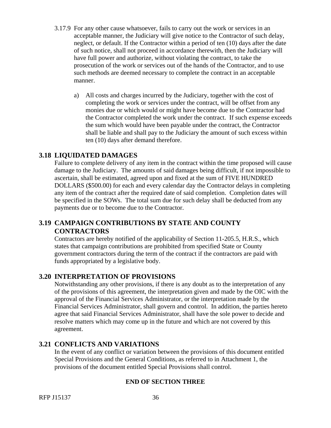- <span id="page-39-0"></span>3.17.9 For any other cause whatsoever, fails to carry out the work or services in an acceptable manner, the Judiciary will give notice to the Contractor of such delay, neglect, or default. If the Contractor within a period of ten (10) days after the date of such notice, shall not proceed in accordance therewith, then the Judiciary will have full power and authorize, without violating the contract, to take the prosecution of the work or services out of the hands of the Contractor, and to use such methods are deemed necessary to complete the contract in an acceptable manner.
	- a) All costs and charges incurred by the Judiciary, together with the cost of completing the work or services under the contract, will be offset from any monies due or which would or might have become due to the Contractor had the Contractor completed the work under the contract. If such expense exceeds the sum which would have been payable under the contract, the Contractor shall be liable and shall pay to the Judiciary the amount of such excess within ten (10) days after demand therefore.

## **3.18 LIQUIDATED DAMAGES**

Failure to complete delivery of any item in the contract within the time proposed will cause damage to the Judiciary. The amounts of said damages being difficult, if not impossible to ascertain, shall be estimated, agreed upon and fixed at the sum of FIVE HUNDRED DOLLARS (\$500.00) for each and every calendar day the Contractor delays in completing any item of the contract after the required date of said completion. Completion dates will be specified in the SOWs. The total sum due for such delay shall be deducted from any payments due or to become due to the Contractor.

## **3.19 CAMPAIGN CONTRIBUTIONS BY STATE AND COUNTY CONTRACTORS**

Contractors are hereby notified of the applicability of Section 11-205.5, H.R.S., which states that campaign contributions are prohibited from specified State or County government contractors during the term of the contract if the contractors are paid with funds appropriated by a legislative body.

## **3.20 INTERPRETATION OF PROVISIONS**

Notwithstanding any other provisions, if there is any doubt as to the interpretation of any of the provisions of this agreement, the interpretation given and made by the OIC with the approval of the Financial Services Administrator, or the interpretation made by the Financial Services Administrator, shall govern and control. In addition, the parties hereto agree that said Financial Services Administrator, shall have the sole power to decide and resolve matters which may come up in the future and which are not covered by this agreement.

## **3.21 CONFLICTS AND VARIATIONS**

In the event of any conflict or variation between the provisions of this document entitled Special Provisions and the General Conditions, as referred to in Attachment 1, the provisions of the document entitled Special Provisions shall control.

## **END OF SECTION THREE**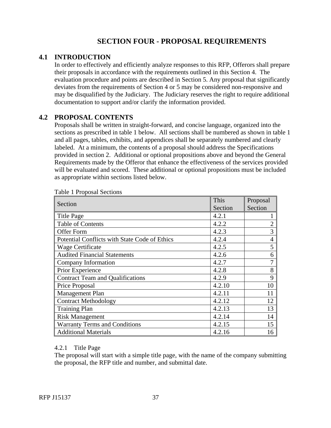# **SECTION FOUR - PROPOSAL REQUIREMENTS**

## **4.1 INTRODUCTION**

In order to effectively and efficiently analyze responses to this RFP, Offerors shall prepare their proposals in accordance with the requirements outlined in this Section 4. The evaluation procedure and points are described in Section 5. Any proposal that significantly deviates from the requirements of Section 4 or 5 may be considered non-responsive and may be disqualified by the Judiciary. The Judiciary reserves the right to require additional documentation to support and/or clarify the information provided.

## **4.2 PROPOSAL CONTENTS**

Proposals shall be written in straight-forward, and concise language, organized into the sections as prescribed in table 1 below. All sections shall be numbered as shown in table 1 and all pages, tables, exhibits, and appendices shall be separately numbered and clearly labeled. At a minimum, the contents of a proposal should address the Specifications provided in section 2. Additional or optional propositions above and beyond the General Requirements made by the Offeror that enhance the effectiveness of the services provided will be evaluated and scored. These additional or optional propositions must be included as appropriate within sections listed below.

| Section                                       | This<br>Section | Proposal<br>Section |
|-----------------------------------------------|-----------------|---------------------|
| <b>Title Page</b>                             | 4.2.1           |                     |
| <b>Table of Contents</b>                      | 4.2.2           |                     |
| Offer Form                                    | 4.2.3           | 3                   |
| Potential Conflicts with State Code of Ethics | 4.2.4           | 4                   |
| <b>Wage Certificate</b>                       | 4.2.5           | 5                   |
| <b>Audited Financial Statements</b>           | 4.2.6           | 6                   |
| Company Information                           | 4.2.7           | 7                   |
| Prior Experience                              | 4.2.8           | 8                   |
| <b>Contract Team and Qualifications</b>       | 4.2.9           | 9                   |
| Price Proposal                                | 4.2.10          | 10                  |
| Management Plan                               | 4.2.11          | 11                  |
| <b>Contract Methodology</b>                   | 4.2.12          | 12                  |
| <b>Training Plan</b>                          | 4.2.13          | 13                  |
| <b>Risk Management</b>                        | 4.2.14          | 14                  |
| <b>Warranty Terms and Conditions</b>          | 4.2.15          | 15                  |
| <b>Additional Materials</b>                   | 4.2.16          | 16                  |

Table 1 Proposal Sections

#### 4.2.1 Title Page

The proposal will start with a simple title page, with the name of the company submitting the proposal, the RFP title and number, and submittal date.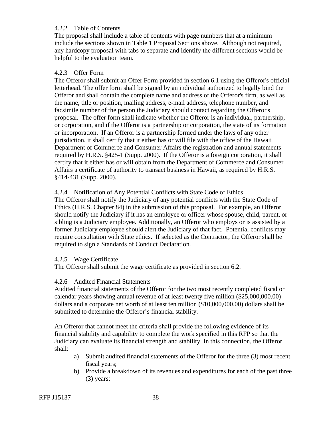### 4.2.2 Table of Contents

The proposal shall include a table of contents with page numbers that at a minimum include the sections shown in Table 1 Proposal Sections above. Although not required, any hardcopy proposal with tabs to separate and identify the different sections would be helpful to the evaluation team.

### 4.2.3 Offer Form

The Offeror shall submit an Offer Form provided in section 6.1 using the Offeror's official letterhead. The offer form shall be signed by an individual authorized to legally bind the Offeror and shall contain the complete name and address of the Offeror's firm, as well as the name, title or position, mailing address, e-mail address, telephone number, and facsimile number of the person the Judiciary should contact regarding the Offeror's proposal. The offer form shall indicate whether the Offeror is an individual, partnership, or corporation, and if the Offeror is a partnership or corporation, the state of its formation or incorporation. If an Offeror is a partnership formed under the laws of any other jurisdiction, it shall certify that it either has or will file with the office of the Hawaii Department of Commerce and Consumer Affairs the registration and annual statements required by H.R.S. §425-1 (Supp. 2000). If the Offeror is a foreign corporation, it shall certify that it either has or will obtain from the Department of Commerce and Consumer Affairs a certificate of authority to transact business in Hawaii, as required by H.R.S. §414-431 (Supp. 2000).

#### 4.2.4 Notification of Any Potential Conflicts with State Code of Ethics

The Offeror shall notify the Judiciary of any potential conflicts with the State Code of Ethics (H.R.S. Chapter 84) in the submission of this proposal. For example, an Offeror should notify the Judiciary if it has an employee or officer whose spouse, child, parent, or sibling is a Judiciary employee. Additionally, an Offeror who employs or is assisted by a former Judiciary employee should alert the Judiciary of that fact. Potential conflicts may require consultation with State ethics. If selected as the Contractor, the Offeror shall be required to sign a Standards of Conduct Declaration.

#### 4.2.5 Wage Certificate

The Offeror shall submit the wage certificate as provided in section 6.2.

#### 4.2.6 Audited Financial Statements

Audited financial statements of the Offeror for the two most recently completed fiscal or calendar years showing annual revenue of at least twenty five million (\$25,000,000.00) dollars and a corporate net worth of at least ten million (\$10,000,000.00) dollars shall be submitted to determine the Offeror's financial stability.

An Offeror that cannot meet the criteria shall provide the following evidence of its financial stability and capability to complete the work specified in this RFP so that the Judiciary can evaluate its financial strength and stability. In this connection, the Offeror shall:

- a) Submit audited financial statements of the Offeror for the three (3) most recent fiscal years;
- b) Provide a breakdown of its revenues and expenditures for each of the past three (3) years;

RFP J15137 38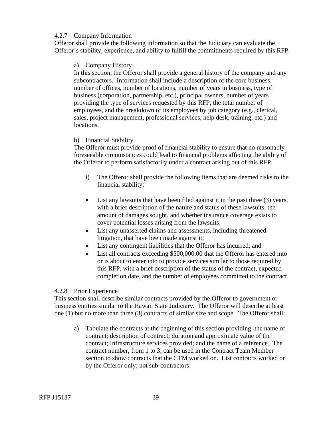#### 4.2.7 Company Information

Offeror shall provide the following information so that the Judiciary can evaluate the Offeror's stability, experience, and ability to fulfill the commitments required by this RFP.

#### a) Company History

In this section, the Offeror shall provide a general history of the company and any subcontractors. Information shall include a description of the core business, number of offices, number of locations, number of years in business, type of business (corporation, partnership, etc.), principal owners, number of years providing the type of services requested by this RFP, the total number of employees, and the breakdown of its employees by job category (e.g., clerical, sales, project management, professional services, help desk, training, etc.) and locations.

#### b) Financial Stability

The Offeror must provide proof of financial stability to ensure that no reasonably foreseeable circumstances could lead to financial problems affecting the ability of the Offeror to perform satisfactorily under a contract arising out of this RFP.

- i) The Offeror shall provide the following items that are deemed risks to the financial stability:
- List any lawsuits that have been filed against it in the past three (3) years, with a brief description of the nature and status of these lawsuits, the amount of damages sought, and whether insurance coverage exists to cover potential losses arising from the lawsuits;
- List any unasserted claims and assessments, including threatened litigation, that have been made against it;
- List any contingent liabilities that the Offeror has incurred; and
- List all contracts exceeding \$500,000.00 that the Offeror has entered into or is about to enter into to provide services similar to those required by this RFP, with a brief description of the status of the contract, expected completion date, and the number of employees committed to the contract.

#### 4.2.8 Prior Experience

This section shall describe similar contracts provided by the Offeror to government or business entities similar to the Hawaii State Judiciary. The Offeror will describe at least one (1) but no more than three (3) contracts of similar size and scope. The Offeror shall:

a) Tabulate the contracts at the beginning of this section providing: the name of contract; description of contract; duration and approximate value of the contract; Infrastructure services provided; and the name of a reference. The contract number, from 1 to 3, can be used in the Contract Team Member section to show contracts that the CTM worked on. List contracts worked on by the Offeror only; not sub-contractors.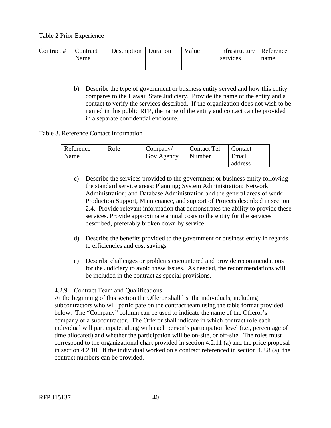Table 2 Prior Experience

| Contract # | Contract | Description | Duration | Value | Infrastructure   Reference |      |
|------------|----------|-------------|----------|-------|----------------------------|------|
|            | Name     |             |          |       | services                   | name |
|            |          |             |          |       |                            |      |

b) Describe the type of government or business entity served and how this entity compares to the Hawaii State Judiciary. Provide the name of the entity and a contact to verify the services described. If the organization does not wish to be named in this public RFP, the name of the entity and contact can be provided in a separate confidential enclosure.

#### Table 3. Reference Contact Information

| Reference | Role | Company/   | <b>Contact Tel</b> | Contact |
|-----------|------|------------|--------------------|---------|
| Name      |      | Gov Agency | Number             | Email   |
|           |      |            |                    | address |

- c) Describe the services provided to the government or business entity following the standard service areas: Planning; System Administration; Network Administration; and Database Administration and the general areas of work: Production Support, Maintenance, and support of Projects described in section 2.4. Provide relevant information that demonstrates the ability to provide these services. Provide approximate annual costs to the entity for the services described, preferably broken down by service.
- d) Describe the benefits provided to the government or business entity in regards to efficiencies and cost savings.
- e) Describe challenges or problems encountered and provide recommendations for the Judiciary to avoid these issues. As needed, the recommendations will be included in the contract as special provisions.

## 4.2.9 Contract Team and Qualifications

At the beginning of this section the Offeror shall list the individuals, including subcontractors who will participate on the contract team using the table format provided below. The "Company" column can be used to indicate the name of the Offeror's company or a subcontractor. The Offeror shall indicate in which contract role each individual will participate, along with each person's participation level (i.e., percentage of time allocated) and whether the participation will be on-site, or off-site. The roles must correspond to the organizational chart provided in section 4.2.11 (a) and the price proposal in section 4.2.10. If the individual worked on a contract referenced in section 4.2.8 (a), the contract numbers can be provided.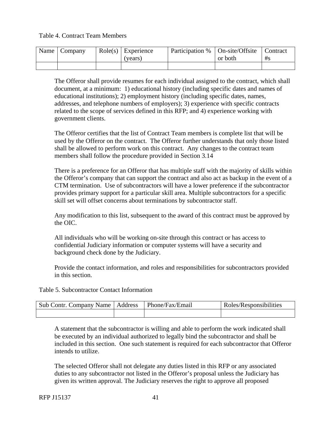Table 4. Contract Team Members

| Name | Company | $Role(s)$ Experience | Participation %   On-site/Offsite |         | Contract |
|------|---------|----------------------|-----------------------------------|---------|----------|
|      |         | (years)              |                                   | or both | #s       |
|      |         |                      |                                   |         |          |

The Offeror shall provide resumes for each individual assigned to the contract, which shall document, at a minimum: 1) educational history (including specific dates and names of educational institutions); 2) employment history (including specific dates, names, addresses, and telephone numbers of employers); 3) experience with specific contracts related to the scope of services defined in this RFP; and 4) experience working with government clients.

The Offeror certifies that the list of Contract Team members is complete list that will be used by the Offeror on the contract. The Offeror further understands that only those listed shall be allowed to perform work on this contract. Any changes to the contract team members shall follow the procedure provided in Section 3.14

There is a preference for an Offeror that has multiple staff with the majority of skills within the Offeror's company that can support the contract and also act as backup in the event of a CTM termination. Use of subcontractors will have a lower preference if the subcontractor provides primary support for a particular skill area. Multiple subcontractors for a specific skill set will offset concerns about terminations by subcontractor staff.

Any modification to this list, subsequent to the award of this contract must be approved by the OIC.

All individuals who will be working on-site through this contract or has access to confidential Judiciary information or computer systems will have a security and background check done by the Judiciary.

Provide the contact information, and roles and responsibilities for subcontractors provided in this section.

Table 5. Subcontractor Contact Information

| Sub Contr. Company Name   Address | Phone/Fax/Email | Roles/Responsibilities |
|-----------------------------------|-----------------|------------------------|
|                                   |                 |                        |

A statement that the subcontractor is willing and able to perform the work indicated shall be executed by an individual authorized to legally bind the subcontractor and shall be included in this section. One such statement is required for each subcontractor that Offeror intends to utilize.

The selected Offeror shall not delegate any duties listed in this RFP or any associated duties to any subcontractor not listed in the Offeror's proposal unless the Judiciary has given its written approval. The Judiciary reserves the right to approve all proposed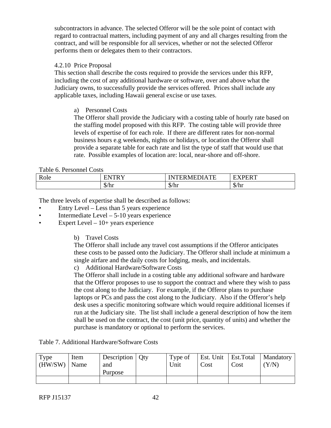subcontractors in advance. The selected Offeror will be the sole point of contact with regard to contractual matters, including payment of any and all charges resulting from the contract, and will be responsible for all services, whether or not the selected Offeror performs them or delegates them to their contractors.

## 4.2.10 Price Proposal

This section shall describe the costs required to provide the services under this RFP, including the cost of any additional hardware or software, over and above what the Judiciary owns, to successfully provide the services offered. Prices shall include any applicable taxes, including Hawaii general excise or use taxes.

## a) Personnel Costs

The Offeror shall provide the Judiciary with a costing table of hourly rate based on the staffing model proposed with this RFP. The costing table will provide three levels of expertise of for each role. If there are different rates for non-normal business hours e.g weekends, nights or holidays, or location the Offeror shall provide a separate table for each rate and list the type of staff that would use that rate. Possible examples of location are: local, near-shore and off-shore.

#### Table 6. Personnel Costs

| $\Delta$ Ole | <b>TNTDV</b><br>. . | $    -$<br>$\blacksquare$<br>,,,<br>- - - | <b>EVDEDT</b>                     |  |
|--------------|---------------------|-------------------------------------------|-----------------------------------|--|
|              | $\mathcal{D}/\ln 1$ | ╓<br>\$/hr                                | $\sqrt{2}$<br>$\mathcal{D}/\ln 1$ |  |

The three levels of expertise shall be described as follows:

- Entry Level Less than 5 years experience
- Intermediate Level 5-10 years experience
- Expert Level  $-10+$  years experience

b) Travel Costs

The Offeror shall include any travel cost assumptions if the Offeror anticipates these costs to be passed onto the Judiciary. The Offeror shall include at minimum a single airfare and the daily costs for lodging, meals, and incidentals.

c) Additional Hardware/Software Costs

The Offeror shall include in a costing table any additional software and hardware that the Offeror proposes to use to support the contract and where they wish to pass the cost along to the Judiciary. For example, if the Offeror plans to purchase laptops or PCs and pass the cost along to the Judiciary. Also if the Offeror's help desk uses a specific monitoring software which would require additional licenses if run at the Judiciary site. The list shall include a general description of how the item shall be used on the contract, the cost (unit price, quantity of units) and whether the purchase is mandatory or optional to perform the services.

Table 7. Additional Hardware/Software Costs

| Type<br>$\vert$ (HW/SW) $\vert$ Name | Item | Description   Qty<br>and | Type of<br>Unit | Cost | Cost | Est. Unit   Est. Total   Mandatory<br>(Y/N) |
|--------------------------------------|------|--------------------------|-----------------|------|------|---------------------------------------------|
|                                      |      | Purpose                  |                 |      |      |                                             |
|                                      |      |                          |                 |      |      |                                             |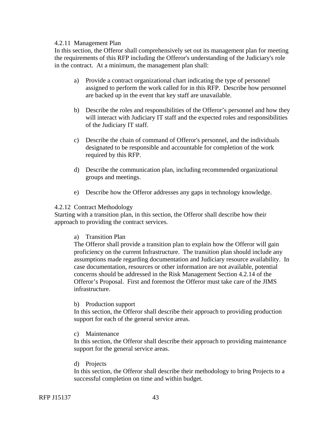#### 4.2.11 Management Plan

In this section, the Offeror shall comprehensively set out its management plan for meeting the requirements of this RFP including the Offeror's understanding of the Judiciary's role in the contract. At a minimum, the management plan shall:

- a) Provide a contract organizational chart indicating the type of personnel assigned to perform the work called for in this RFP. Describe how personnel are backed up in the event that key staff are unavailable.
- b) Describe the roles and responsibilities of the Offeror's personnel and how they will interact with Judiciary IT staff and the expected roles and responsibilities of the Judiciary IT staff.
- c) Describe the chain of command of Offeror's personnel, and the individuals designated to be responsible and accountable for completion of the work required by this RFP.
- d) Describe the communication plan, including recommended organizational groups and meetings.
- e) Describe how the Offeror addresses any gaps in technology knowledge.

#### 4.2.12 Contract Methodology

Starting with a transition plan, in this section, the Offeror shall describe how their approach to providing the contract services.

a) Transition Plan

The Offeror shall provide a transition plan to explain how the Offeror will gain proficiency on the current Infrastructure. The transition plan should include any assumptions made regarding documentation and Judiciary resource availability. In case documentation, resources or other information are not available, potential concerns should be addressed in the Risk Management Section 4.2.14 of the Offeror's Proposal. First and foremost the Offeror must take care of the JIMS infrastructure.

#### b) Production support

In this section, the Offeror shall describe their approach to providing production support for each of the general service areas.

c) Maintenance

In this section, the Offeror shall describe their approach to providing maintenance support for the general service areas.

#### d) Projects

In this section, the Offeror shall describe their methodology to bring Projects to a successful completion on time and within budget.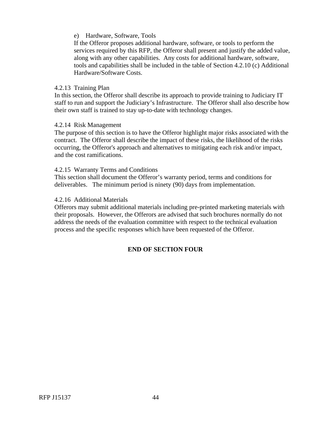#### e) Hardware, Software, Tools

If the Offeror proposes additional hardware, software, or tools to perform the services required by this RFP, the Offeror shall present and justify the added value, along with any other capabilities. Any costs for additional hardware, software, tools and capabilities shall be included in the table of Section 4.2.10 (c) Additional Hardware/Software Costs.

#### 4.2.13 Training Plan

In this section, the Offeror shall describe its approach to provide training to Judiciary IT staff to run and support the Judiciary's Infrastructure. The Offeror shall also describe how their own staff is trained to stay up-to-date with technology changes.

#### 4.2.14 Risk Management

The purpose of this section is to have the Offeror highlight major risks associated with the contract. The Offeror shall describe the impact of these risks, the likelihood of the risks occurring, the Offeror's approach and alternatives to mitigating each risk and/or impact, and the cost ramifications.

#### 4.2.15 Warranty Terms and Conditions

This section shall document the Offeror's warranty period, terms and conditions for deliverables. The minimum period is ninety (90) days from implementation.

#### 4.2.16 Additional Materials

Offerors may submit additional materials including pre-printed marketing materials with their proposals. However, the Offerors are advised that such brochures normally do not address the needs of the evaluation committee with respect to the technical evaluation process and the specific responses which have been requested of the Offeror.

## **END OF SECTION FOUR**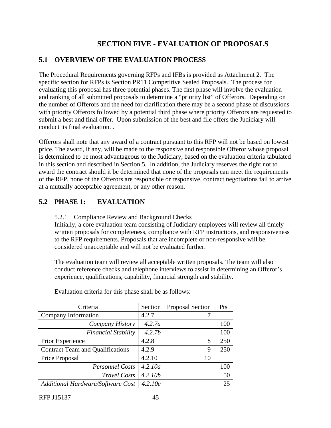# **SECTION FIVE - EVALUATION OF PROPOSALS**

# **5.1 OVERVIEW OF THE EVALUATION PROCESS**

The Procedural Requirements governing RFPs and IFBs is provided as Attachment 2. The specific section for RFPs is Section PR11 Competitive Sealed Proposals. The process for evaluating this proposal has three potential phases. The first phase will involve the evaluation and ranking of all submitted proposals to determine a "priority list" of Offerors. Depending on the number of Offerors and the need for clarification there may be a second phase of discussions with priority Offerors followed by a potential third phase where priority Offerors are requested to submit a best and final offer. Upon submission of the best and file offers the Judiciary will conduct its final evaluation. .

Offerors shall note that any award of a contract pursuant to this RFP will not be based on lowest price. The award, if any, will be made to the responsive and responsible Offeror whose proposal is determined to be most advantageous to the Judiciary, based on the evaluation criteria tabulated in this section and described in Section 5. In addition, the Judiciary reserves the right not to award the contract should it be determined that none of the proposals can meet the requirements of the RFP, none of the Offerors are responsible or responsive, contract negotiations fail to arrive at a mutually acceptable agreement, or any other reason.

# **5.2 PHASE 1: EVALUATION**

5.2.1 Compliance Review and Background Checks

Initially, a core evaluation team consisting of Judiciary employees will review all timely written proposals for completeness, compliance with RFP instructions, and responsiveness to the RFP requirements. Proposals that are incomplete or non-responsive will be considered unacceptable and will not be evaluated further.

The evaluation team will review all acceptable written proposals. The team will also conduct reference checks and telephone interviews to assist in determining an Offeror's experience, qualifications, capability, financial strength and stability.

| Criteria                                 | Section | Proposal Section | Pts |
|------------------------------------------|---------|------------------|-----|
| Company Information                      | 4.2.7   |                  |     |
| Company History                          | 4.2.7a  |                  | 100 |
| <b>Financial Stability</b>               | 4.2.7b  |                  | 100 |
| Prior Experience                         | 4.2.8   | 8                | 250 |
| <b>Contract Team and Qualifications</b>  | 4.2.9   | 9                | 250 |
| Price Proposal                           | 4.2.10  | 10               |     |
| <b>Personnel Costs</b>                   | 4.2.10a |                  | 100 |
| <b>Travel Costs</b>                      | 4.2.10b |                  | 50  |
| <b>Additional Hardware/Software Cost</b> | 4.2.10c |                  | 25  |

Evaluation criteria for this phase shall be as follows: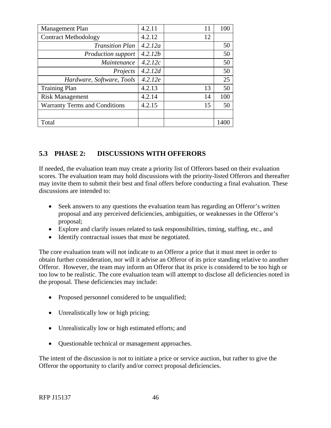| Management Plan                      | 4.2.11  | 11 | 100  |
|--------------------------------------|---------|----|------|
| <b>Contract Methodology</b>          | 4.2.12  | 12 |      |
| <b>Transition Plan</b>               | 4.2.12a |    | 50   |
| <b>Production support</b>            | 4.2.12b |    | 50   |
| Maintenance                          | 4.2.12c |    | 50   |
| Projects                             | 4.2.12d |    | 50   |
| Hardware, Software, Tools            | 4.2.12e |    | 25   |
| <b>Training Plan</b>                 | 4.2.13  | 13 | 50   |
| <b>Risk Management</b>               | 4.2.14  | 14 | 100  |
| <b>Warranty Terms and Conditions</b> | 4.2.15  | 15 | 50   |
|                                      |         |    |      |
| Total                                |         |    | 1400 |

# **5.3 PHASE 2: DISCUSSIONS WITH OFFERORS**

If needed, the evaluation team may create a priority list of Offerors based on their evaluation scores. The evaluation team may hold discussions with the priority-listed Offerors and thereafter may invite them to submit their best and final offers before conducting a final evaluation. These discussions are intended to:

- Seek answers to any questions the evaluation team has regarding an Offeror's written proposal and any perceived deficiencies, ambiguities, or weaknesses in the Offeror's proposal;
- Explore and clarify issues related to task responsibilities, timing, staffing, etc., and
- Identify contractual issues that must be negotiated.

The core evaluation team will not indicate to an Offeror a price that it must meet in order to obtain further consideration, nor will it advise an Offeror of its price standing relative to another Offeror. However, the team may inform an Offeror that its price is considered to be too high or too low to be realistic. The core evaluation team will attempt to disclose all deficiencies noted in the proposal. These deficiencies may include:

- Proposed personnel considered to be unqualified;
- Unrealistically low or high pricing;
- Unrealistically low or high estimated efforts; and
- Questionable technical or management approaches.

The intent of the discussion is not to initiate a price or service auction, but rather to give the Offeror the opportunity to clarify and/or correct proposal deficiencies.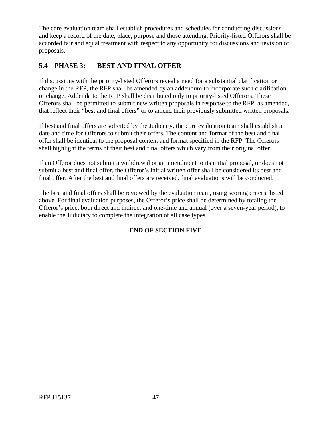<span id="page-50-0"></span>The core evaluation team shall establish procedures and schedules for conducting discussions and keep a record of the date, place, purpose and those attending. Priority-listed Offerors shall be accorded fair and equal treatment with respect to any opportunity for discussions and revision of proposals.

# **5.4 PHASE 3: BEST AND FINAL OFFER**

If discussions with the priority-listed Offerors reveal a need for a substantial clarification or change in the RFP, the RFP shall be amended by an addendum to incorporate such clarification or change. Addenda to the RFP shall be distributed only to priority-listed Offerors. These Offerors shall be permitted to submit new written proposals in response to the RFP, as amended, that reflect their "best and final offers" or to amend their previously submitted written proposals.

If best and final offers are solicited by the Judiciary, the core evaluation team shall establish a date and time for Offerors to submit their offers. The content and format of the best and final offer shall be identical to the proposal content and format specified in the RFP. The Offerors shall highlight the terms of their best and final offers which vary from their original offer.

If an Offeror does not submit a withdrawal or an amendment to its initial proposal, or does not submit a best and final offer, the Offeror's initial written offer shall be considered its best and final offer. After the best and final offers are received, final evaluations will be conducted.

The best and final offers shall be reviewed by the evaluation team, using scoring criteria listed above. For final evaluation purposes, the Offeror's price shall be determined by totaling the Offeror's price, both direct and indirect and one-time and annual (over a seven-year period), to enable the Judiciary to complete the integration of all case types.

# **END OF SECTION FIVE**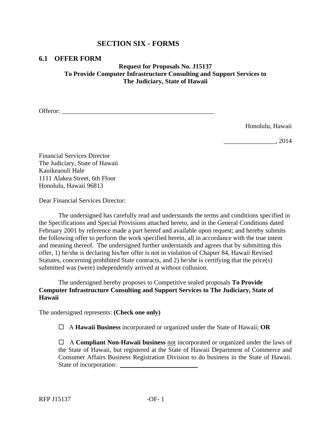## **SECTION SIX - FORMS**

#### **6.1 OFFER FORM**

## **Request for Proposals No. J15137 To Provide Computer Infrastructure Consulting and Support Services to The Judiciary, State of Hawaii**

Offeror:

Honolulu, Hawaii

\_\_\_\_\_\_\_\_\_\_\_\_\_\_\_\_, 2014

Financial Services Director The Judiciary, State of Hawaii Kauikeaouli Hale 1111 Alakea Street, 6th Floor Honolulu, Hawaii 96813

Dear Financial Services Director:

The undersigned has carefully read and understands the terms and conditions specified in the Specifications and Special Provisions attached hereto, and in the General Conditions dated February 2001 by reference made a part hereof and available upon request; and hereby submits the following offer to perform the work specified herein, all in accordance with the true intent and meaning thereof. The undersigned further understands and agrees that by submitting this offer, 1) he/she is declaring his/her offer is not in violation of Chapter 84, Hawaii Revised Statutes, concerning prohibited State contracts, and 2) he/she is certifying that the price(s) submitted was (were) independently arrived at without collusion.

The undersigned hereby proposes to Competitive sealed proposals **To Provide Computer Infrastructure Consulting and Support Services to The Judiciary, State of Hawaii** 

The undersigned represents: **(Check one only)** 

A **Hawaii Business** incorporated or organized under the State of Hawaii; **OR** 

 A **Compliant Non-Hawaii business** not incorporated or organized under the laws of the State of Hawaii, but registered at the State of Hawaii Department of Commerce and Consumer Affairs Business Registration Division to do business in the State of Hawaii. State of incorporation: \_\_\_\_\_\_\_\_\_\_\_\_\_\_\_\_\_\_\_\_\_\_\_\_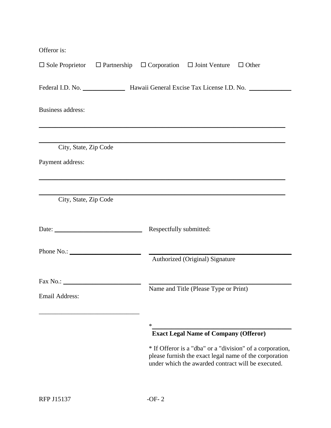Offeror is:

| $\Box$ Sole Proprietor $\Box$ Partnership $\Box$ Corporation $\Box$ Joint Venture $\Box$ Other |  |                         |                                                    |                                                                                                                     |  |
|------------------------------------------------------------------------------------------------|--|-------------------------|----------------------------------------------------|---------------------------------------------------------------------------------------------------------------------|--|
| Federal I.D. No. ________________ Hawaii General Excise Tax License I.D. No. _______           |  |                         |                                                    |                                                                                                                     |  |
| Business address:                                                                              |  |                         |                                                    |                                                                                                                     |  |
|                                                                                                |  |                         |                                                    |                                                                                                                     |  |
| City, State, Zip Code                                                                          |  |                         |                                                    |                                                                                                                     |  |
| Payment address:                                                                               |  |                         |                                                    |                                                                                                                     |  |
|                                                                                                |  |                         |                                                    |                                                                                                                     |  |
| City, State, Zip Code                                                                          |  |                         |                                                    |                                                                                                                     |  |
| Date: $\qquad \qquad$                                                                          |  | Respectfully submitted: |                                                    |                                                                                                                     |  |
|                                                                                                |  |                         |                                                    |                                                                                                                     |  |
|                                                                                                |  |                         | Authorized (Original) Signature                    |                                                                                                                     |  |
|                                                                                                |  |                         |                                                    |                                                                                                                     |  |
| <b>Email Address:</b>                                                                          |  |                         | Name and Title (Please Type or Print)              |                                                                                                                     |  |
|                                                                                                |  |                         |                                                    |                                                                                                                     |  |
|                                                                                                |  | ∗                       | <b>Exact Legal Name of Company (Offeror)</b>       |                                                                                                                     |  |
|                                                                                                |  |                         | under which the awarded contract will be executed. | * If Offeror is a "dba" or a "division" of a corporation,<br>please furnish the exact legal name of the corporation |  |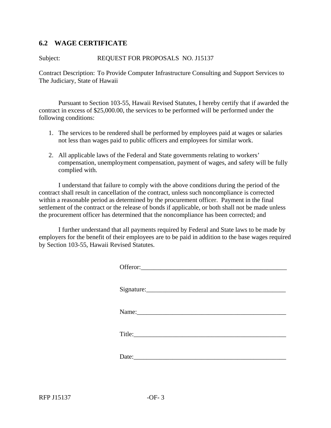## **6.2 WAGE CERTIFICATE**

#### Subject: REQUEST FOR PROPOSALS NO. J15137

Contract Description: To Provide Computer Infrastructure Consulting and Support Services to The Judiciary, State of Hawaii

Pursuant to Section 103-55, Hawaii Revised Statutes, I hereby certify that if awarded the contract in excess of \$25,000.00, the services to be performed will be performed under the following conditions:

- 1. The services to be rendered shall be performed by employees paid at wages or salaries not less than wages paid to public officers and employees for similar work.
- 2. All applicable laws of the Federal and State governments relating to workers' compensation, unemployment compensation, payment of wages, and safety will be fully complied with.

I understand that failure to comply with the above conditions during the period of the contract shall result in cancellation of the contract, unless such noncompliance is corrected within a reasonable period as determined by the procurement officer. Payment in the final settlement of the contract or the release of bonds if applicable, or both shall not be made unless the procurement officer has determined that the noncompliance has been corrected; and

I further understand that all payments required by Federal and State laws to be made by employers for the benefit of their employees are to be paid in addition to the base wages required by Section 103-55, Hawaii Revised Statutes.

| Signature: |
|------------|
|            |
| Title:     |
|            |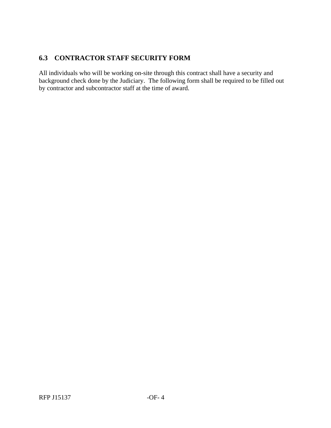# **6.3 CONTRACTOR STAFF SECURITY FORM**

All individuals who will be working on-site through this contract shall have a security and background check done by the Judiciary. The following form shall be required to be filled out by contractor and subcontractor staff at the time of award.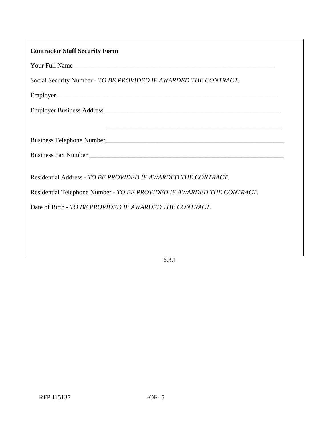| <b>Contractor Staff Security Form</b>                                                                                                   |  |  |
|-----------------------------------------------------------------------------------------------------------------------------------------|--|--|
|                                                                                                                                         |  |  |
| Social Security Number - TO BE PROVIDED IF AWARDED THE CONTRACT.                                                                        |  |  |
|                                                                                                                                         |  |  |
|                                                                                                                                         |  |  |
|                                                                                                                                         |  |  |
|                                                                                                                                         |  |  |
|                                                                                                                                         |  |  |
| Residential Address - TO BE PROVIDED IF AWARDED THE CONTRACT.<br>Residential Telephone Number - TO BE PROVIDED IF AWARDED THE CONTRACT. |  |  |
| Date of Birth - TO BE PROVIDED IF AWARDED THE CONTRACT.                                                                                 |  |  |
|                                                                                                                                         |  |  |
|                                                                                                                                         |  |  |

6.3.1